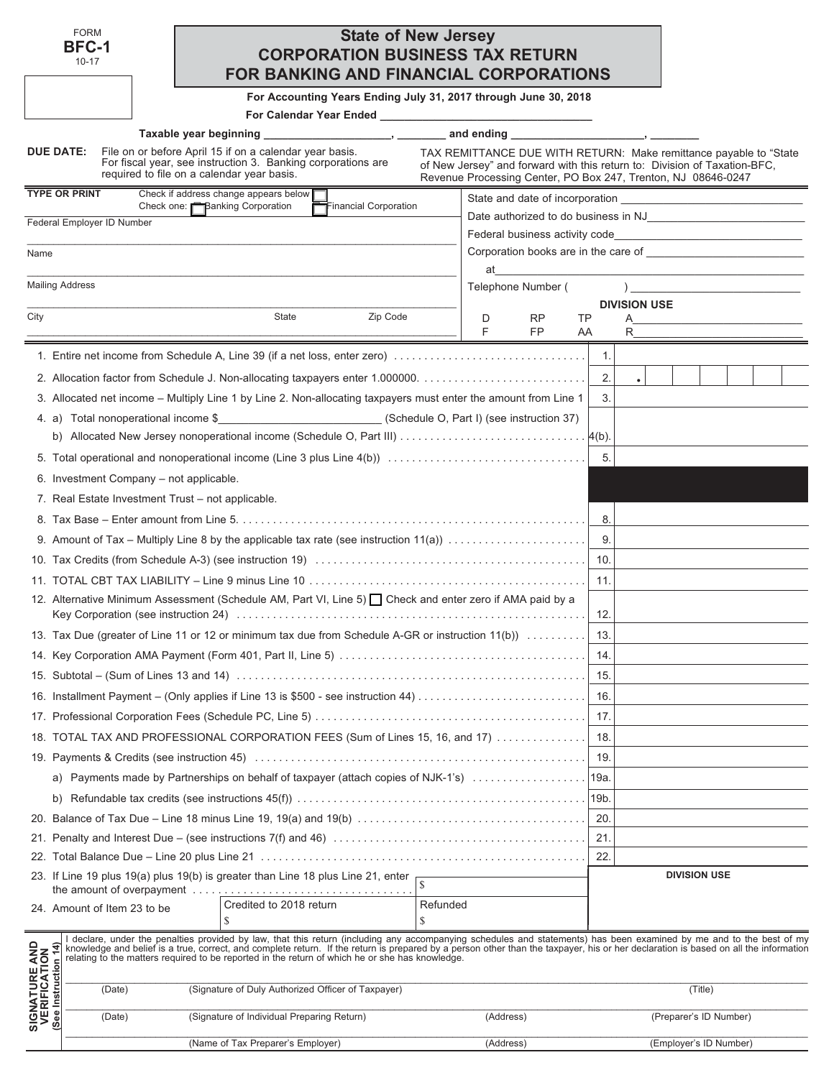|                                                               | <b>FORM</b><br><b>BFC-1</b><br>$10 - 17$ |                                                   | <b>FOR BANKING AND FINANCIAL CORPORATIONS</b>                                                                                                                                                                                                                                                                                                                                                                                                                  | <b>State of New Jersey</b><br><b>CORPORATION BUSINESS TAX RETURN</b> |          |                          |                                                                                                                                                                                                                  |      |                     |                        |  |
|---------------------------------------------------------------|------------------------------------------|---------------------------------------------------|----------------------------------------------------------------------------------------------------------------------------------------------------------------------------------------------------------------------------------------------------------------------------------------------------------------------------------------------------------------------------------------------------------------------------------------------------------------|----------------------------------------------------------------------|----------|--------------------------|------------------------------------------------------------------------------------------------------------------------------------------------------------------------------------------------------------------|------|---------------------|------------------------|--|
|                                                               |                                          |                                                   |                                                                                                                                                                                                                                                                                                                                                                                                                                                                | For Accounting Years Ending July 31, 2017 through June 30, 2018      |          |                          |                                                                                                                                                                                                                  |      |                     |                        |  |
|                                                               |                                          |                                                   |                                                                                                                                                                                                                                                                                                                                                                                                                                                                |                                                                      |          |                          |                                                                                                                                                                                                                  |      |                     |                        |  |
|                                                               | DUE DATE:                                | required to file on a calendar year basis.        | Taxable year beginning _______________________, _________ and ending _____________________, ____<br>File on or before April 15 if on a calendar year basis.<br>For fiscal year, see instruction 3. Banking corporations are                                                                                                                                                                                                                                    |                                                                      |          |                          | TAX REMITTANCE DUE WITH RETURN: Make remittance payable to "State"<br>of New Jersey" and forward with this return to: Division of Taxation-BFC,<br>Revenue Processing Center, PO Box 247, Trenton, NJ 08646-0247 |      |                     |                        |  |
|                                                               | <b>TYPE OR PRINT</b>                     |                                                   | Check if address change appears below $\blacksquare$                                                                                                                                                                                                                                                                                                                                                                                                           |                                                                      |          |                          |                                                                                                                                                                                                                  |      |                     |                        |  |
|                                                               | Federal Employer ID Number               | Check one: <b>Banking Corporation</b>             |                                                                                                                                                                                                                                                                                                                                                                                                                                                                | Financial Corporation                                                |          |                          |                                                                                                                                                                                                                  |      |                     |                        |  |
|                                                               |                                          |                                                   |                                                                                                                                                                                                                                                                                                                                                                                                                                                                |                                                                      |          |                          |                                                                                                                                                                                                                  |      |                     |                        |  |
| Name                                                          |                                          |                                                   |                                                                                                                                                                                                                                                                                                                                                                                                                                                                |                                                                      |          |                          | Corporation books are in the care of <b>contained a contained a contained a contained a</b>                                                                                                                      |      |                     |                        |  |
|                                                               | <b>Mailing Address</b>                   |                                                   |                                                                                                                                                                                                                                                                                                                                                                                                                                                                |                                                                      |          | at<br>Telephone Number ( |                                                                                                                                                                                                                  |      |                     |                        |  |
|                                                               |                                          |                                                   |                                                                                                                                                                                                                                                                                                                                                                                                                                                                |                                                                      |          |                          |                                                                                                                                                                                                                  |      | <b>DIVISION USE</b> |                        |  |
| City                                                          |                                          |                                                   | State                                                                                                                                                                                                                                                                                                                                                                                                                                                          | Zip Code                                                             |          | D                        | RP.                                                                                                                                                                                                              | TP   | A                   |                        |  |
|                                                               |                                          |                                                   |                                                                                                                                                                                                                                                                                                                                                                                                                                                                |                                                                      |          | F                        | FP                                                                                                                                                                                                               | AA   |                     |                        |  |
|                                                               |                                          |                                                   | 1. Entire net income from Schedule A, Line 39 (if a net loss, enter zero)                                                                                                                                                                                                                                                                                                                                                                                      |                                                                      |          |                          |                                                                                                                                                                                                                  | 1.   |                     |                        |  |
|                                                               |                                          |                                                   |                                                                                                                                                                                                                                                                                                                                                                                                                                                                |                                                                      |          |                          |                                                                                                                                                                                                                  | 2.   |                     |                        |  |
|                                                               |                                          |                                                   | 3. Allocated net income - Multiply Line 1 by Line 2. Non-allocating taxpayers must enter the amount from Line 1                                                                                                                                                                                                                                                                                                                                                |                                                                      |          |                          |                                                                                                                                                                                                                  | 3.   |                     |                        |  |
|                                                               |                                          | 4. a) Total nonoperational income \$              | (Schedule O, Part I) (see instruction 37)                                                                                                                                                                                                                                                                                                                                                                                                                      |                                                                      |          |                          |                                                                                                                                                                                                                  |      |                     |                        |  |
|                                                               |                                          |                                                   |                                                                                                                                                                                                                                                                                                                                                                                                                                                                |                                                                      |          |                          |                                                                                                                                                                                                                  |      |                     |                        |  |
|                                                               |                                          |                                                   |                                                                                                                                                                                                                                                                                                                                                                                                                                                                |                                                                      |          |                          |                                                                                                                                                                                                                  | 5.   |                     |                        |  |
|                                                               |                                          | 6. Investment Company - not applicable.           |                                                                                                                                                                                                                                                                                                                                                                                                                                                                |                                                                      |          |                          |                                                                                                                                                                                                                  |      |                     |                        |  |
|                                                               |                                          | 7. Real Estate Investment Trust – not applicable. |                                                                                                                                                                                                                                                                                                                                                                                                                                                                |                                                                      |          |                          |                                                                                                                                                                                                                  |      |                     |                        |  |
|                                                               |                                          |                                                   |                                                                                                                                                                                                                                                                                                                                                                                                                                                                |                                                                      |          |                          |                                                                                                                                                                                                                  | 8.   |                     |                        |  |
|                                                               |                                          |                                                   |                                                                                                                                                                                                                                                                                                                                                                                                                                                                |                                                                      |          |                          |                                                                                                                                                                                                                  | 9.   |                     |                        |  |
|                                                               |                                          |                                                   |                                                                                                                                                                                                                                                                                                                                                                                                                                                                |                                                                      |          |                          |                                                                                                                                                                                                                  | 10.  |                     |                        |  |
|                                                               |                                          |                                                   |                                                                                                                                                                                                                                                                                                                                                                                                                                                                |                                                                      |          |                          |                                                                                                                                                                                                                  | 11.  |                     |                        |  |
|                                                               |                                          |                                                   | 12. Alternative Minimum Assessment (Schedule AM, Part VI, Line 5) Check and enter zero if AMA paid by a                                                                                                                                                                                                                                                                                                                                                        |                                                                      |          |                          |                                                                                                                                                                                                                  |      |                     |                        |  |
|                                                               |                                          |                                                   |                                                                                                                                                                                                                                                                                                                                                                                                                                                                |                                                                      |          |                          |                                                                                                                                                                                                                  | 12.  |                     |                        |  |
|                                                               |                                          |                                                   | 13. Tax Due (greater of Line 11 or 12 or minimum tax due from Schedule A-GR or instruction 11(b))                                                                                                                                                                                                                                                                                                                                                              |                                                                      |          |                          |                                                                                                                                                                                                                  | 13.  |                     |                        |  |
|                                                               |                                          |                                                   |                                                                                                                                                                                                                                                                                                                                                                                                                                                                |                                                                      |          |                          |                                                                                                                                                                                                                  | 14.  |                     |                        |  |
|                                                               |                                          |                                                   |                                                                                                                                                                                                                                                                                                                                                                                                                                                                |                                                                      |          |                          |                                                                                                                                                                                                                  | 15.  |                     |                        |  |
|                                                               |                                          |                                                   | 16. Installment Payment – (Only applies if Line 13 is \$500 - see instruction 44)                                                                                                                                                                                                                                                                                                                                                                              |                                                                      |          |                          |                                                                                                                                                                                                                  | 16.  |                     |                        |  |
|                                                               |                                          |                                                   |                                                                                                                                                                                                                                                                                                                                                                                                                                                                |                                                                      |          |                          |                                                                                                                                                                                                                  | 17.  |                     |                        |  |
|                                                               |                                          |                                                   | 18. TOTAL TAX AND PROFESSIONAL CORPORATION FEES (Sum of Lines 15, 16, and 17)                                                                                                                                                                                                                                                                                                                                                                                  |                                                                      |          |                          |                                                                                                                                                                                                                  | 18.  |                     |                        |  |
|                                                               |                                          |                                                   |                                                                                                                                                                                                                                                                                                                                                                                                                                                                |                                                                      |          |                          |                                                                                                                                                                                                                  | 19.  |                     |                        |  |
|                                                               |                                          |                                                   | a) Payments made by Partnerships on behalf of taxpayer (attach copies of NJK-1's)                                                                                                                                                                                                                                                                                                                                                                              |                                                                      |          |                          |                                                                                                                                                                                                                  | 19a  |                     |                        |  |
|                                                               |                                          |                                                   |                                                                                                                                                                                                                                                                                                                                                                                                                                                                |                                                                      |          |                          |                                                                                                                                                                                                                  | 19b. |                     |                        |  |
|                                                               |                                          |                                                   |                                                                                                                                                                                                                                                                                                                                                                                                                                                                |                                                                      |          |                          |                                                                                                                                                                                                                  | 20.  |                     |                        |  |
|                                                               |                                          |                                                   |                                                                                                                                                                                                                                                                                                                                                                                                                                                                |                                                                      |          |                          |                                                                                                                                                                                                                  | 21.  |                     |                        |  |
|                                                               |                                          |                                                   |                                                                                                                                                                                                                                                                                                                                                                                                                                                                |                                                                      |          |                          |                                                                                                                                                                                                                  | 22.  |                     |                        |  |
|                                                               |                                          |                                                   | 23. If Line 19 plus 19(a) plus 19(b) is greater than Line 18 plus Line 21, enter                                                                                                                                                                                                                                                                                                                                                                               |                                                                      |          |                          |                                                                                                                                                                                                                  |      |                     | <b>DIVISION USE</b>    |  |
|                                                               | 24. Amount of Item 23 to be              |                                                   | Credited to 2018 return                                                                                                                                                                                                                                                                                                                                                                                                                                        |                                                                      | Refunded |                          |                                                                                                                                                                                                                  |      |                     |                        |  |
|                                                               |                                          |                                                   | \$                                                                                                                                                                                                                                                                                                                                                                                                                                                             |                                                                      | \$       |                          |                                                                                                                                                                                                                  |      |                     |                        |  |
| <b>SIGNATURE AND<br/>VERIFICATION</b><br>(See Instruction 14) |                                          |                                                   | I declare, under the penalties provided by law, that this return (including any accompanying schedules and statements) has been examined by me and to the best of my<br>knowledge and belief is a true, correct, and complete return. If the return is prepared by a person other than the taxpayer, his or her declaration is based on all the information<br>relating to the matters required to be reported in the return of which he or she has knowledge. |                                                                      |          |                          |                                                                                                                                                                                                                  |      |                     |                        |  |
|                                                               | (Date)                                   |                                                   | (Signature of Duly Authorized Officer of Taxpayer)                                                                                                                                                                                                                                                                                                                                                                                                             |                                                                      |          |                          |                                                                                                                                                                                                                  |      |                     | (Title)                |  |
|                                                               | (Date)                                   |                                                   | (Signature of Individual Preparing Return)                                                                                                                                                                                                                                                                                                                                                                                                                     |                                                                      |          | (Address)                |                                                                                                                                                                                                                  |      |                     | (Preparer's ID Number) |  |

\_\_\_\_\_\_\_\_\_\_\_\_\_\_\_\_\_\_\_\_\_\_\_\_\_\_\_\_\_\_\_\_\_\_\_\_\_\_\_\_\_\_\_\_\_\_\_\_\_\_\_\_\_\_\_\_\_\_\_\_\_\_\_\_\_\_\_\_\_\_\_\_\_\_\_\_\_\_\_\_\_\_\_\_\_\_\_\_\_\_\_\_\_\_\_\_\_\_\_\_\_\_\_\_\_\_\_\_\_\_\_\_\_\_\_\_\_\_\_\_\_\_\_\_\_\_\_\_\_\_\_\_\_\_\_\_\_\_\_\_

(Name of Tax Preparer's Employer) (Address) (Employer's ID Number)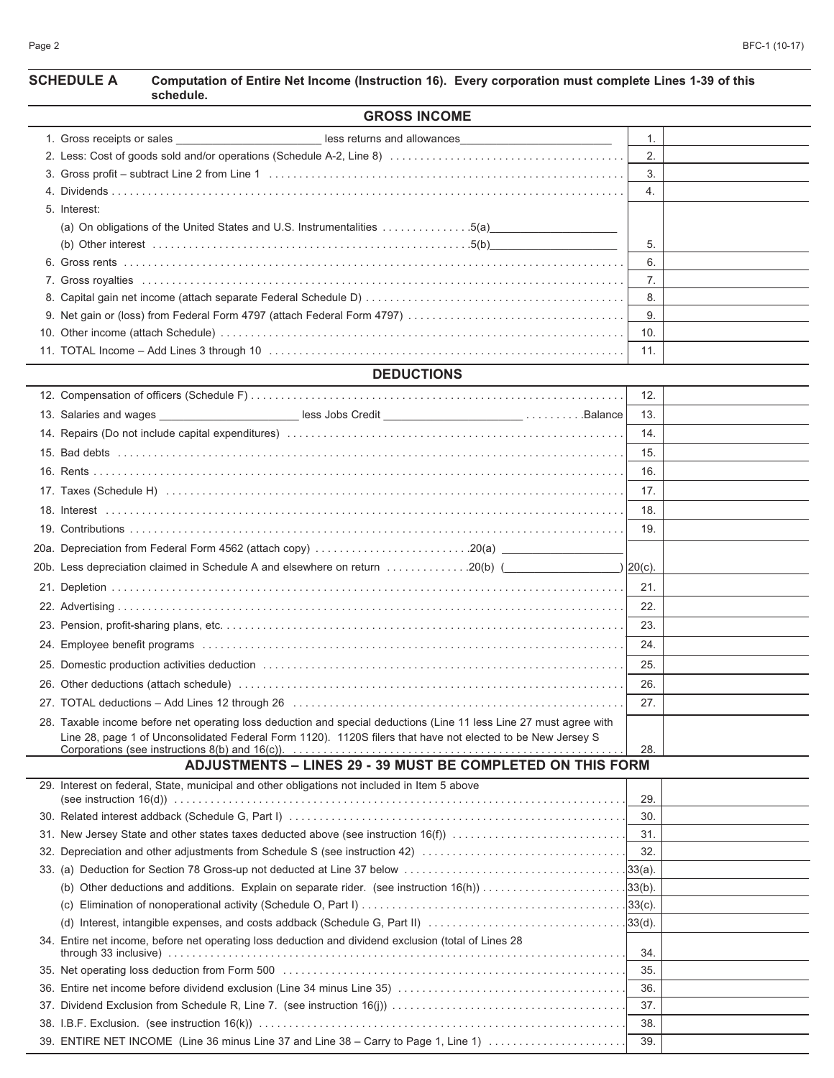# **SCHEDULE A Computation of Entire Net Income (Instruction 16). Every corporation must complete Lines 1-39 of this**

| schedule.                                                                                                           |             |  |
|---------------------------------------------------------------------------------------------------------------------|-------------|--|
| <b>GROSS INCOME</b>                                                                                                 |             |  |
| less returns and allowances<br><u> 1980 - Jan Barbara Barbara, manazarta </u>                                       | 1.          |  |
|                                                                                                                     | 2.          |  |
|                                                                                                                     | 3.          |  |
|                                                                                                                     | 4.          |  |
| 5. Interest:                                                                                                        |             |  |
| (a) On obligations of the United States and U.S. Instrumentalities 5(a)                                             |             |  |
|                                                                                                                     | 5.          |  |
|                                                                                                                     | 6.          |  |
|                                                                                                                     | 7.          |  |
|                                                                                                                     | 8.          |  |
|                                                                                                                     | 9.          |  |
|                                                                                                                     | 10.         |  |
|                                                                                                                     | 11.         |  |
| <b>DEDUCTIONS</b>                                                                                                   |             |  |
|                                                                                                                     | 12.         |  |
| 13. Salaries and wages _______________________________less Jobs Credit _________________________Balance             | 13.         |  |
|                                                                                                                     | 14.         |  |
|                                                                                                                     | 15.         |  |
|                                                                                                                     | 16.         |  |
|                                                                                                                     | 17.         |  |
|                                                                                                                     | 18.         |  |
|                                                                                                                     | 19.         |  |
|                                                                                                                     |             |  |
| 20b. Less depreciation claimed in Schedule A and elsewhere on return 20(b) (                                        | ) $20(c)$ . |  |
|                                                                                                                     | 21.         |  |
|                                                                                                                     | 22.         |  |
|                                                                                                                     | 23.         |  |
|                                                                                                                     | 24.         |  |
|                                                                                                                     | 25.         |  |
|                                                                                                                     | 26.         |  |
|                                                                                                                     | 27.         |  |
| 28. Taxable income before net operating loss deduction and special deductions (Line 11 less Line 27 must agree with |             |  |
| Line 28, page 1 of Unconsolidated Federal Form 1120). 1120S filers that have not elected to be New Jersey S         |             |  |
| <b>ADJUSTMENTS - LINES 29 - 39 MUST BE COMPLETED ON THIS FORM</b>                                                   | 28.         |  |
| 29. Interest on federal, State, municipal and other obligations not included in Item 5 above                        |             |  |
|                                                                                                                     | 29.         |  |
|                                                                                                                     | 30.         |  |
| 31. New Jersey State and other states taxes deducted above (see instruction 16(f))                                  | 31.         |  |
| 32. Depreciation and other adjustments from Schedule S (see instruction 42)                                         | 32.         |  |
|                                                                                                                     |             |  |
| (b) Other deductions and additions. Explain on separate rider. (see instruction $16(h)$ ) 33(b).                    |             |  |
|                                                                                                                     |             |  |
|                                                                                                                     |             |  |
| 34. Entire net income, before net operating loss deduction and dividend exclusion (total of Lines 28                | 34.         |  |
|                                                                                                                     | 35.         |  |
|                                                                                                                     |             |  |

36. Entire net income before dividend exclusion (Line 34 minus Line 35) . . . . . . . . . . . . . . . . . . . . . . . . . . . . . . . . . . . . . . 36. 37. Dividend Exclusion from Schedule R, Line 7. (see instruction 16(j)) . . . . . . . . . . . . . . . . . . . . . . . . . . . . . . . . . . . . . . . 37. 38. I.B.F. Exclusion. (see instruction 16(k)) . . . . . . . . . . . . . . . . . . . . . . . . . . . . . . . . . . . . . . . . . . . . . . . . . . . . . . . . . . . . . 38. 39. ENTIRE NET INCOME  (Line 36 minus Line 37 and Line 38 – Carry to Page 1, Line 1) . . . . . . . . . . . . . . . . . . . . . . . 39.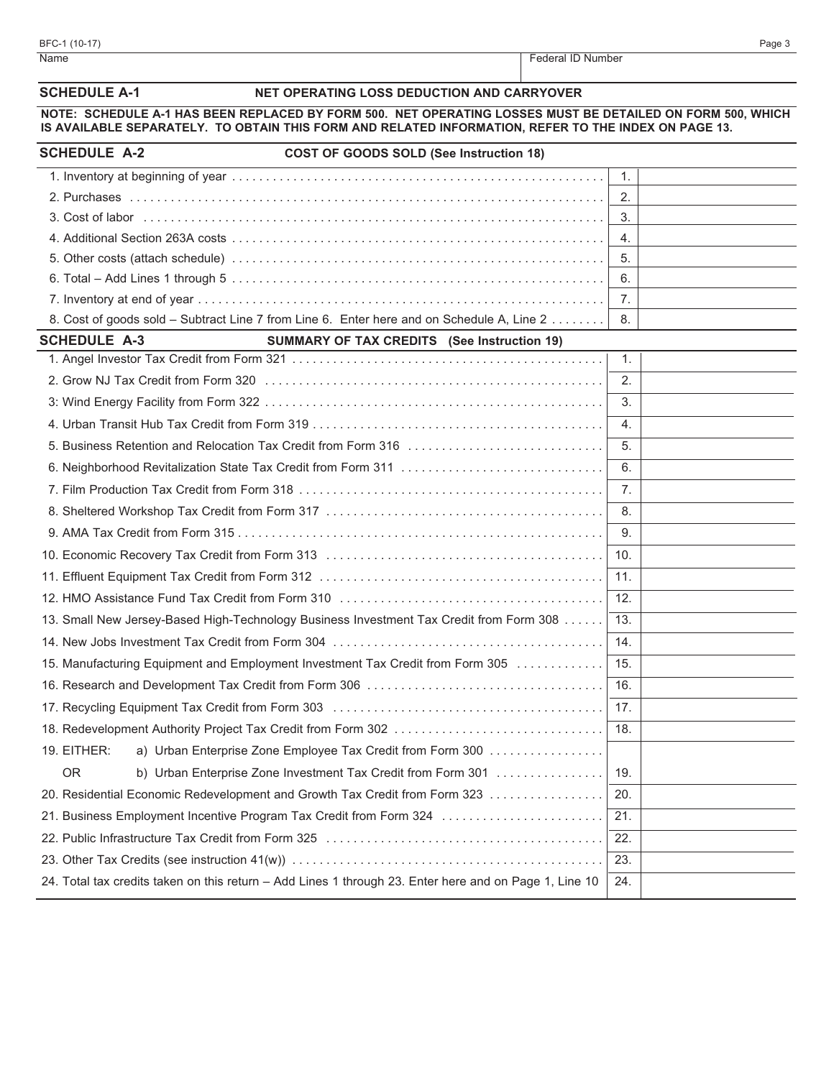| Name                                                                                      | Federal ID Number                                                                                                                                                                                                  |
|-------------------------------------------------------------------------------------------|--------------------------------------------------------------------------------------------------------------------------------------------------------------------------------------------------------------------|
| <b>SCHEDULE A-1</b>                                                                       | NET OPERATING LOSS DEDUCTION AND CARRYOVER                                                                                                                                                                         |
|                                                                                           | NOTE: SCHEDULE A-1 HAS BEEN REPLACED BY FORM 500. NET OPERATING LOSSES MUST BE DETAILED ON FORM 500, WHICH<br>IS AVAILABLE SEPARATELY. TO OBTAIN THIS FORM AND RELATED INFORMATION, REFER TO THE INDEX ON PAGE 13. |
| <b>SCHEDULE A-2</b>                                                                       | <b>COST OF GOODS SOLD (See Instruction 18)</b>                                                                                                                                                                     |
|                                                                                           | $\mathbf{1}$ .                                                                                                                                                                                                     |
|                                                                                           | 2.                                                                                                                                                                                                                 |
|                                                                                           | 3.                                                                                                                                                                                                                 |
|                                                                                           | $\overline{4}$ .                                                                                                                                                                                                   |
|                                                                                           | 5.                                                                                                                                                                                                                 |
|                                                                                           | 6.                                                                                                                                                                                                                 |
|                                                                                           | 7 <sub>1</sub>                                                                                                                                                                                                     |
| 8. Cost of goods sold - Subtract Line 7 from Line 6. Enter here and on Schedule A, Line 2 | 8.                                                                                                                                                                                                                 |
| <b>SCHEDULE A-3</b>                                                                       | <b>SUMMARY OF TAX CREDITS</b> (See Instruction 19)                                                                                                                                                                 |
|                                                                                           | 1.                                                                                                                                                                                                                 |
|                                                                                           | 2.                                                                                                                                                                                                                 |
|                                                                                           | 3.                                                                                                                                                                                                                 |
|                                                                                           | 4.                                                                                                                                                                                                                 |
| 5. Business Retention and Relocation Tax Credit from Form 316                             | 5.                                                                                                                                                                                                                 |
|                                                                                           | 6.                                                                                                                                                                                                                 |
|                                                                                           | 7 <sub>1</sub>                                                                                                                                                                                                     |
|                                                                                           | 8.                                                                                                                                                                                                                 |
|                                                                                           | 9.                                                                                                                                                                                                                 |
|                                                                                           |                                                                                                                                                                                                                    |

| <b>SCHEDULE A-3</b> | <b>SUMMARY OF TAX CREDITS</b> (See Instruction 19)                                                     |                |  |
|---------------------|--------------------------------------------------------------------------------------------------------|----------------|--|
|                     |                                                                                                        | $\mathbf{1}$ . |  |
|                     |                                                                                                        | 2.             |  |
|                     |                                                                                                        | 3.             |  |
|                     |                                                                                                        | 4.             |  |
|                     | 5. Business Retention and Relocation Tax Credit from Form 316                                          | 5.             |  |
|                     |                                                                                                        | 6.             |  |
|                     |                                                                                                        | 7.             |  |
|                     |                                                                                                        | 8.             |  |
|                     |                                                                                                        | 9.             |  |
|                     |                                                                                                        | 10.            |  |
|                     |                                                                                                        | 11.            |  |
|                     |                                                                                                        | 12.            |  |
|                     | 13. Small New Jersey-Based High-Technology Business Investment Tax Credit from Form 308                | 13.            |  |
|                     |                                                                                                        | 14.            |  |
|                     | 15. Manufacturing Equipment and Employment Investment Tax Credit from Form 305                         | 15.            |  |
|                     |                                                                                                        | 16.            |  |
|                     |                                                                                                        | 17.            |  |
|                     | 18. Redevelopment Authority Project Tax Credit from Form 302                                           | 18.            |  |
| 19. EITHER:         | a) Urban Enterprise Zone Employee Tax Credit from Form 300                                             |                |  |
| <b>OR</b>           | b) Urban Enterprise Zone Investment Tax Credit from Form 301                                           | 19.            |  |
|                     | 20. Residential Economic Redevelopment and Growth Tax Credit from Form 323                             | 20.            |  |
|                     | 21. Business Employment Incentive Program Tax Credit from Form 324                                     | 21.            |  |
|                     |                                                                                                        | 22.            |  |
|                     |                                                                                                        | 23.            |  |
|                     | 24. Total tax credits taken on this return - Add Lines 1 through 23. Enter here and on Page 1, Line 10 | 24.            |  |
|                     |                                                                                                        |                |  |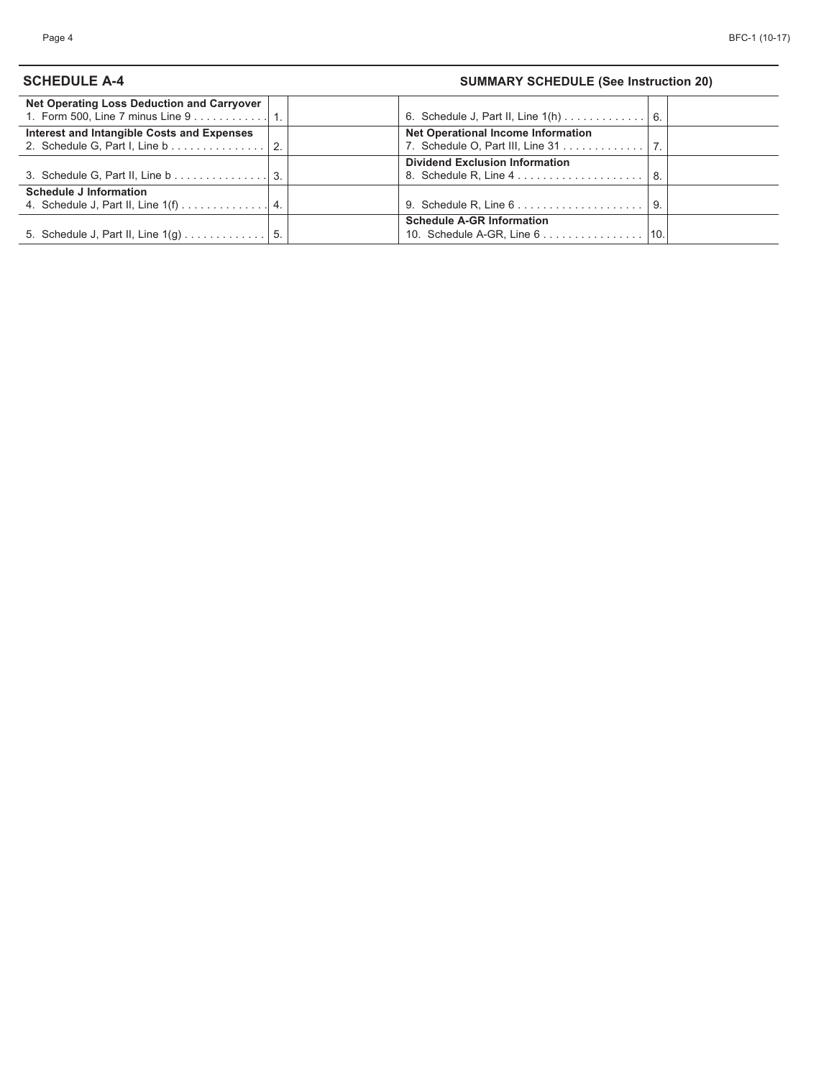# **SCHEDULE A-4 SUMMARY SCHEDULE (See Instruction 20)**

| Net Operating Loss Deduction and Carryover |                |                                                               |     |
|--------------------------------------------|----------------|---------------------------------------------------------------|-----|
|                                            |                |                                                               |     |
| Interest and Intangible Costs and Expenses |                | <b>Net Operational Income Information</b>                     |     |
| 2. Schedule G, Part I, Line b              | $\overline{2}$ | 7. Schedule O, Part III, Line 31 7.                           |     |
|                                            |                | <b>Dividend Exclusion Information</b>                         |     |
| 3. Schedule G, Part II, Line b 3.          |                |                                                               |     |
| <b>Schedule J Information</b>              |                |                                                               |     |
|                                            |                | 9. Schedule R, Line $6 \ldots \ldots \ldots \ldots \ldots$    | -9. |
|                                            |                | <b>Schedule A-GR Information</b>                              |     |
| 5. Schedule J, Part II, Line 1(g)          | -5.            | 10. Schedule A-GR, Line $6 \ldots \ldots \ldots \ldots$   10. |     |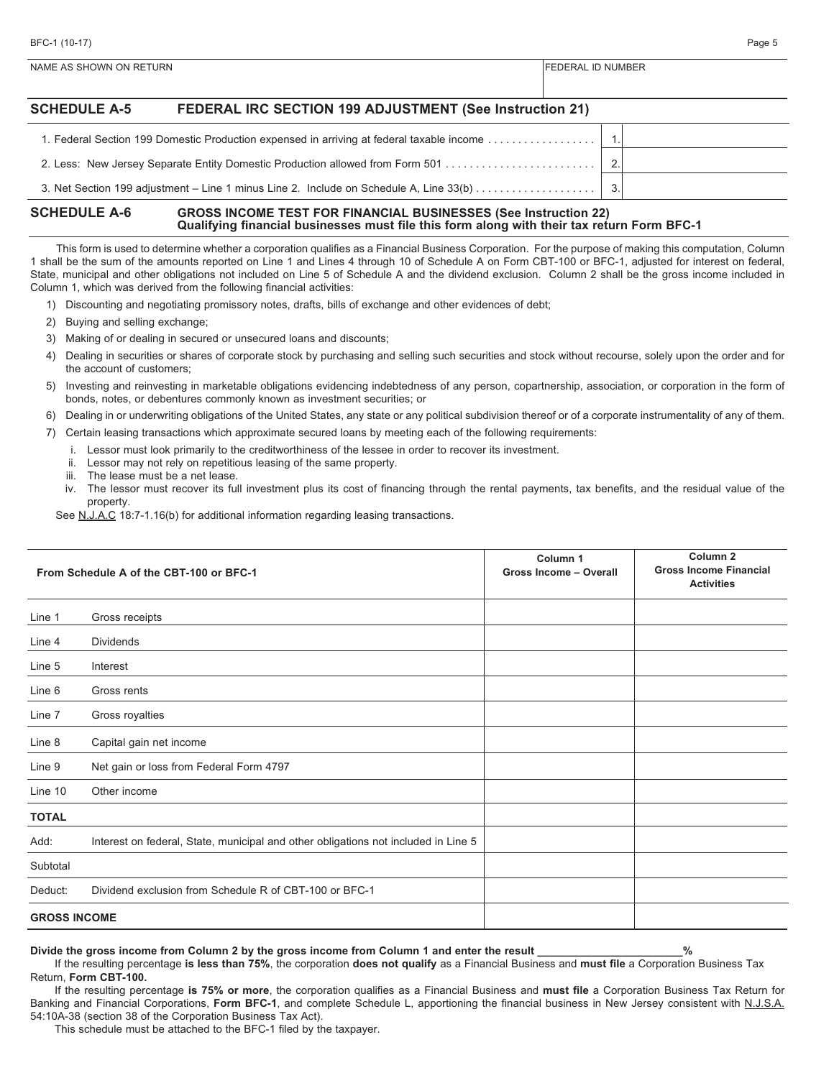| <b>SCHEDULE A-5</b> | FEDERAL IRC SECTION 199 ADJUSTMENT (See Instruction 21)                                   |                |  |
|---------------------|-------------------------------------------------------------------------------------------|----------------|--|
|                     | 1. Federal Section 199 Domestic Production expensed in arriving at federal taxable income |                |  |
|                     | 2. Less: New Jersey Separate Entity Domestic Production allowed from Form 501             | $\overline{2}$ |  |
|                     | 3. Net Section 199 adjustment – Line 1 minus Line 2. Include on Schedule A, Line 33(b)    | 3.             |  |

#### **SCHEDULE A-6 GROSS INCOME TEST FOR FINANCIAL BUSINESSES (See Instruction 22) Qualifying financial businesses must file this form along with their tax return Form BFC-1**

NAME AS SHOWN ON RETURN FEDERAL ID NUMBER

This form is used to determine whether a corporation qualifies as a Financial Business Corporation. For the purpose of making this computation, Column 1 shall be the sum of the amounts reported on Line 1 and Lines 4 through 10 of Schedule A on Form CBT-100 or BFC-1, adjusted for interest on federal, State, municipal and other obligations not included on Line 5 of Schedule A and the dividend exclusion. Column 2 shall be the gross income included in Column 1, which was derived from the following financial activities:

- 1) Discounting and negotiating promissory notes, drafts, bills of exchange and other evidences of debt;
- 2) Buying and selling exchange;
- 3) Making of or dealing in secured or unsecured loans and discounts;
- 4) Dealing in securities or shares of corporate stock by purchasing and selling such securities and stock without recourse, solely upon the order and for the account of customers;
- 5) Investing and reinvesting in marketable obligations evidencing indebtedness of any person, copartnership, association, or corporation in the form of bonds, notes, or debentures commonly known as investment securities; or
- 6) Dealing in or underwriting obligations of the United States, any state or any political subdivision thereof or of a corporate instrumentality of any of them.
- 7) Certain leasing transactions which approximate secured loans by meeting each of the following requirements:
	- i. Lessor must look primarily to the creditworthiness of the lessee in order to recover its investment.
	- ii. Lessor may not rely on repetitious leasing of the same property.
	- iii. The lease must be a net lease.
	- iv. The lessor must recover its full investment plus its cost of financing through the rental payments, tax benefits, and the residual value of the property.

See N.J.A.C 18:7-1.16(b) for additional information regarding leasing transactions.

|                     | From Schedule A of the CBT-100 or BFC-1                                            | Column <sub>1</sub><br><b>Gross Income - Overall</b> | Column <sub>2</sub><br><b>Gross Income Financial</b><br><b>Activities</b> |
|---------------------|------------------------------------------------------------------------------------|------------------------------------------------------|---------------------------------------------------------------------------|
| Line 1              | Gross receipts                                                                     |                                                      |                                                                           |
| Line 4              | <b>Dividends</b>                                                                   |                                                      |                                                                           |
| Line 5              | Interest                                                                           |                                                      |                                                                           |
| Line 6              | Gross rents                                                                        |                                                      |                                                                           |
| Line 7              | Gross royalties                                                                    |                                                      |                                                                           |
| Line 8              | Capital gain net income                                                            |                                                      |                                                                           |
| Line 9              | Net gain or loss from Federal Form 4797                                            |                                                      |                                                                           |
| Line 10             | Other income                                                                       |                                                      |                                                                           |
| <b>TOTAL</b>        |                                                                                    |                                                      |                                                                           |
| Add:                | Interest on federal, State, municipal and other obligations not included in Line 5 |                                                      |                                                                           |
| Subtotal            |                                                                                    |                                                      |                                                                           |
| Deduct:             | Dividend exclusion from Schedule R of CBT-100 or BFC-1                             |                                                      |                                                                           |
| <b>GROSS INCOME</b> |                                                                                    |                                                      |                                                                           |

**Divide the gross income from Column 2 by the gross income from Column 1 and enter the result \_\_\_\_\_\_\_\_\_\_\_\_\_\_\_\_\_\_\_\_\_\_\_\_%**

If the resulting percentage **is less than 75%**, the corporation **does not qualify** as a Financial Business and **must file** a Corporation Business Tax Return, **Form CBT-100.**

If the resulting percentage **is 75% or more**, the corporation qualifies as a Financial Business and **must file** a Corporation Business Tax Return for Banking and Financial Corporations, **Form BFC-1**, and complete Schedule L, apportioning the financial business in New Jersey consistent with N.J.S.A. 54:10A-38 (section 38 of the Corporation Business Tax Act).

This schedule must be attached to the BFC-1 filed by the taxpayer.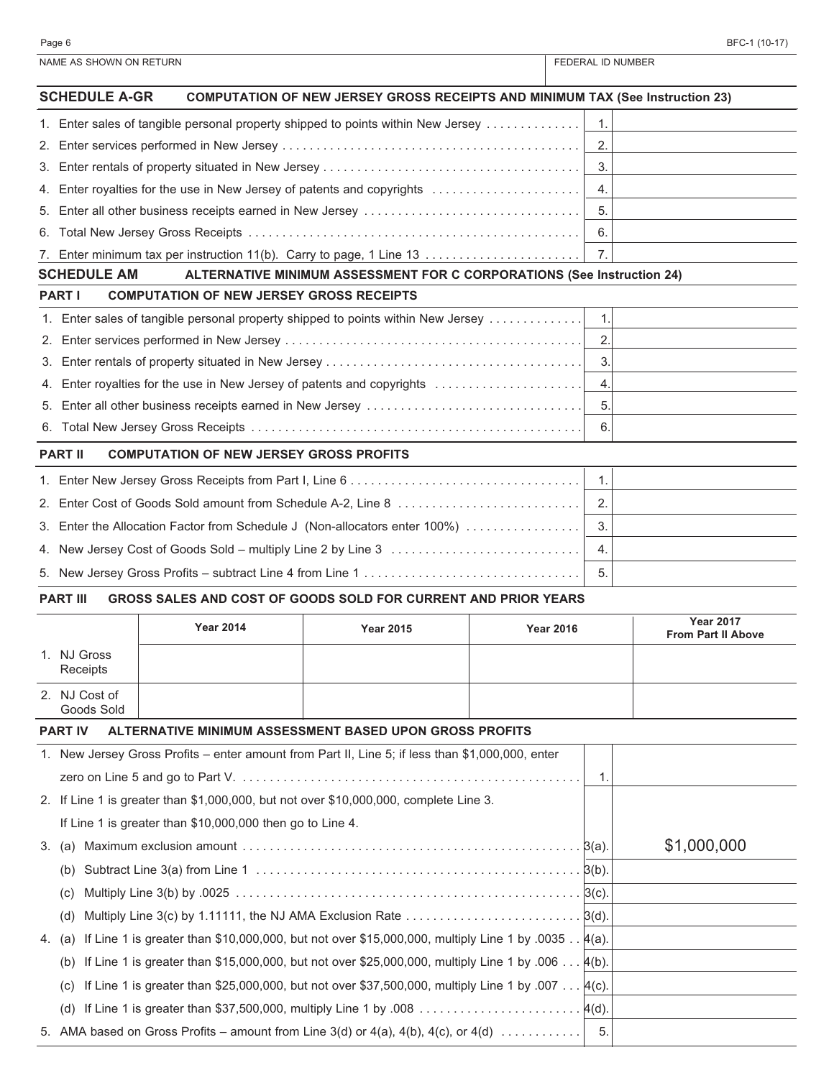|    | NAME AS SHOWN ON RETURN      |                                                                                                                    | <b>FEDERAL ID NUMBER</b>                                                             |                  |    |                           |
|----|------------------------------|--------------------------------------------------------------------------------------------------------------------|--------------------------------------------------------------------------------------|------------------|----|---------------------------|
|    | <b>SCHEDULE A-GR</b>         |                                                                                                                    | <b>COMPUTATION OF NEW JERSEY GROSS RECEIPTS AND MINIMUM TAX (See Instruction 23)</b> |                  |    |                           |
|    |                              | 1. Enter sales of tangible personal property shipped to points within New Jersey                                   |                                                                                      |                  | 1. |                           |
| 2. |                              |                                                                                                                    |                                                                                      |                  | 2. |                           |
| 3. |                              |                                                                                                                    |                                                                                      |                  | 3. |                           |
| 4. |                              | Enter royalties for the use in New Jersey of patents and copyrights                                                |                                                                                      |                  | 4. |                           |
| 5. |                              | Enter all other business receipts earned in New Jersey                                                             |                                                                                      |                  | 5. |                           |
| 6. |                              |                                                                                                                    |                                                                                      |                  | 6. |                           |
|    |                              | 7. Enter minimum tax per instruction 11(b). Carry to page, 1 Line 13                                               |                                                                                      |                  | 7. |                           |
|    | <b>SCHEDULE AM</b>           |                                                                                                                    | ALTERNATIVE MINIMUM ASSESSMENT FOR C CORPORATIONS (See Instruction 24)               |                  |    |                           |
|    | <b>PART I</b>                | <b>COMPUTATION OF NEW JERSEY GROSS RECEIPTS</b>                                                                    |                                                                                      |                  |    |                           |
|    |                              | 1. Enter sales of tangible personal property shipped to points within New Jersey                                   |                                                                                      |                  | 1. |                           |
| 2. |                              |                                                                                                                    |                                                                                      |                  | 2. |                           |
| 3. |                              |                                                                                                                    |                                                                                      |                  | 3. |                           |
| 4. |                              | Enter royalties for the use in New Jersey of patents and copyrights                                                |                                                                                      |                  | 4. |                           |
| 5. |                              | Enter all other business receipts earned in New Jersey                                                             |                                                                                      |                  | 5. |                           |
| 6. |                              |                                                                                                                    |                                                                                      |                  | 6. |                           |
|    | <b>PART II</b>               | <b>COMPUTATION OF NEW JERSEY GROSS PROFITS</b>                                                                     |                                                                                      |                  |    |                           |
|    |                              |                                                                                                                    |                                                                                      |                  |    |                           |
| 2. |                              |                                                                                                                    |                                                                                      |                  | 2. |                           |
| 3. |                              | Enter the Allocation Factor from Schedule J (Non-allocators enter 100%)                                            |                                                                                      |                  | 3. |                           |
|    |                              | 4. New Jersey Cost of Goods Sold - multiply Line 2 by Line 3                                                       |                                                                                      |                  | 4. |                           |
|    |                              |                                                                                                                    |                                                                                      |                  | 5. |                           |
|    | <b>PART III</b>              | GROSS SALES AND COST OF GOODS SOLD FOR CURRENT AND PRIOR YEARS                                                     |                                                                                      |                  |    |                           |
|    |                              | <b>Year 2014</b>                                                                                                   | <b>Year 2015</b>                                                                     | <b>Year 2016</b> |    | <b>Year 2017</b>          |
|    |                              |                                                                                                                    |                                                                                      |                  |    | <b>From Part II Above</b> |
|    | 1. NJ Gross<br>Receipts      |                                                                                                                    |                                                                                      |                  |    |                           |
|    | 2. NJ Cost of                |                                                                                                                    |                                                                                      |                  |    |                           |
|    | Goods Sold<br><b>PART IV</b> | ALTERNATIVE MINIMUM ASSESSMENT BASED UPON GROSS PROFITS                                                            |                                                                                      |                  |    |                           |
|    |                              | 1. New Jersey Gross Profits – enter amount from Part II, Line 5; if less than \$1,000,000, enter                   |                                                                                      |                  |    |                           |
|    |                              |                                                                                                                    |                                                                                      |                  | 1. |                           |
|    |                              | 2. If Line 1 is greater than \$1,000,000, but not over \$10,000,000, complete Line 3.                              |                                                                                      |                  |    |                           |
|    |                              | If Line 1 is greater than \$10,000,000 then go to Line 4.                                                          |                                                                                      |                  |    |                           |
| 3. | (a)                          | Maximum exclusion amount $\dots\dots\dots\dots\dots\dots\dots\dots\dots\dots\dots\dots\dots\dots\dots\ldots\ldots$ |                                                                                      |                  |    | \$1,000,000               |
|    | (b)                          |                                                                                                                    |                                                                                      |                  |    |                           |
|    | (C)                          |                                                                                                                    |                                                                                      |                  |    |                           |
|    |                              | Multiply Line 3(c) by 1.11111, the NJ AMA Exclusion Rate $\ldots \ldots \ldots \ldots \ldots \ldots \ldots$ [3(d). |                                                                                      |                  |    |                           |
|    | (d)                          |                                                                                                                    |                                                                                      |                  |    |                           |
| 4. | (a)                          | If Line 1 is greater than \$10,000,000, but not over \$15,000,000, multiply Line 1 by .0035 $\frac{\mu}{a}$ .      |                                                                                      |                  |    |                           |
|    | (b)                          | If Line 1 is greater than \$15,000,000, but not over \$25,000,000, multiply Line 1 by .006 $4(b)$ .                |                                                                                      |                  |    |                           |
|    | (C)                          | If Line 1 is greater than \$25,000,000, but not over \$37,500,000, multiply Line 1 by .007 4(c).                   |                                                                                      |                  |    |                           |
|    | (d)                          |                                                                                                                    |                                                                                      |                  |    |                           |
|    |                              | 5. AMA based on Gross Profits – amount from Line $3(d)$ or $4(a)$ , $4(b)$ , $4(c)$ , or $4(d)$                    |                                                                                      |                  | 5. |                           |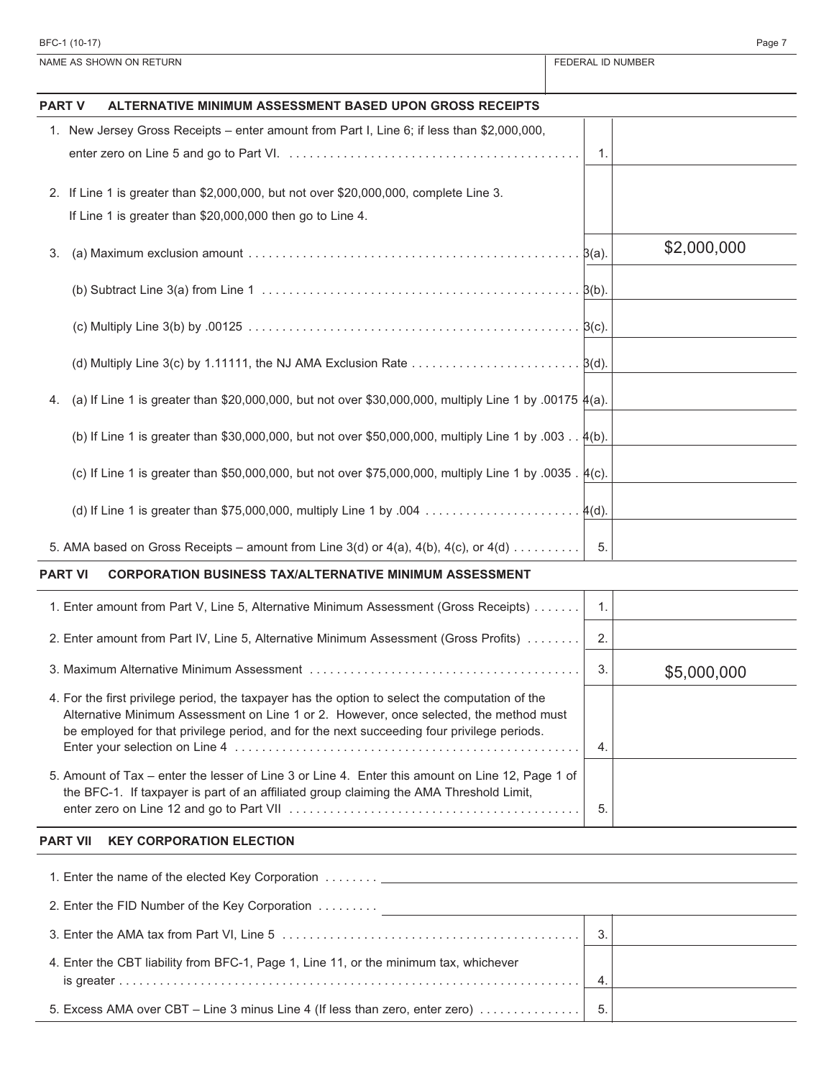|               | NAME AS SHOWN ON RETURN                                                                                                                                                                                                                                                                 | FEDERAL ID NUMBER |             |
|---------------|-----------------------------------------------------------------------------------------------------------------------------------------------------------------------------------------------------------------------------------------------------------------------------------------|-------------------|-------------|
| <b>PART V</b> | ALTERNATIVE MINIMUM ASSESSMENT BASED UPON GROSS RECEIPTS                                                                                                                                                                                                                                |                   |             |
|               | 1. New Jersey Gross Receipts – enter amount from Part I, Line 6; if less than \$2,000,000,                                                                                                                                                                                              | 1.                |             |
|               | 2. If Line 1 is greater than \$2,000,000, but not over \$20,000,000, complete Line 3.<br>If Line 1 is greater than \$20,000,000 then go to Line 4.                                                                                                                                      |                   |             |
| 3.            | (a) Maximum exclusion amount $\dots\dots\dots\dots\dots\dots\dots\dots\dots\dots\dots\dots\dots\dots\dots\dots\dots\beta(a)$ .                                                                                                                                                          |                   | \$2,000,000 |
|               |                                                                                                                                                                                                                                                                                         |                   |             |
|               |                                                                                                                                                                                                                                                                                         |                   |             |
|               | (d) Multiply Line 3(c) by 1.11111, the NJ AMA Exclusion Rate $\ldots \ldots \ldots \ldots \ldots \ldots$ $\beta(d)$ .                                                                                                                                                                   |                   |             |
| 4.            | (a) If Line 1 is greater than \$20,000,000, but not over \$30,000,000, multiply Line 1 by .00175 $\frac{\mu}{a}$ .                                                                                                                                                                      |                   |             |
|               | (b) If Line 1 is greater than \$30,000,000, but not over \$50,000,000, multiply Line 1 by .003 4(b).                                                                                                                                                                                    |                   |             |
|               | (c) If Line 1 is greater than \$50,000,000, but not over \$75,000,000, multiply Line 1 by .0035 . $4(c)$ .                                                                                                                                                                              |                   |             |
|               | (d) If Line 1 is greater than \$75,000,000, multiply Line 1 by .004  4(d).                                                                                                                                                                                                              |                   |             |
|               | 5. AMA based on Gross Receipts – amount from Line 3(d) or $4(a)$ , $4(b)$ , $4(c)$ , or $4(d)$                                                                                                                                                                                          | 5.                |             |
|               | <b>CORPORATION BUSINESS TAX/ALTERNATIVE MINIMUM ASSESSMENT</b><br><b>PART VI</b>                                                                                                                                                                                                        |                   |             |
|               | 1. Enter amount from Part V, Line 5, Alternative Minimum Assessment (Gross Receipts)                                                                                                                                                                                                    | $\mathbf{1}$ .    |             |
|               | 2. Enter amount from Part IV, Line 5, Alternative Minimum Assessment (Gross Profits)                                                                                                                                                                                                    | 2.                |             |
|               |                                                                                                                                                                                                                                                                                         | 3.                | \$5,000,000 |
|               | 4. For the first privilege period, the taxpayer has the option to select the computation of the<br>Alternative Minimum Assessment on Line 1 or 2. However, once selected, the method must<br>be employed for that privilege period, and for the next succeeding four privilege periods. | 4.                |             |
|               | 5. Amount of Tax - enter the lesser of Line 3 or Line 4. Enter this amount on Line 12, Page 1 of<br>the BFC-1. If taxpayer is part of an affiliated group claiming the AMA Threshold Limit,                                                                                             | 5.                |             |
|               | <b>PART VII</b><br><b>KEY CORPORATION ELECTION</b>                                                                                                                                                                                                                                      |                   |             |
|               |                                                                                                                                                                                                                                                                                         |                   |             |
|               |                                                                                                                                                                                                                                                                                         |                   |             |
|               |                                                                                                                                                                                                                                                                                         | 3.                |             |
|               | 4. Enter the CBT liability from BFC-1, Page 1, Line 11, or the minimum tax, whichever                                                                                                                                                                                                   | 4.                |             |
|               | 5. Excess AMA over CBT - Line 3 minus Line 4 (If less than zero, enter zero)                                                                                                                                                                                                            | 5.                |             |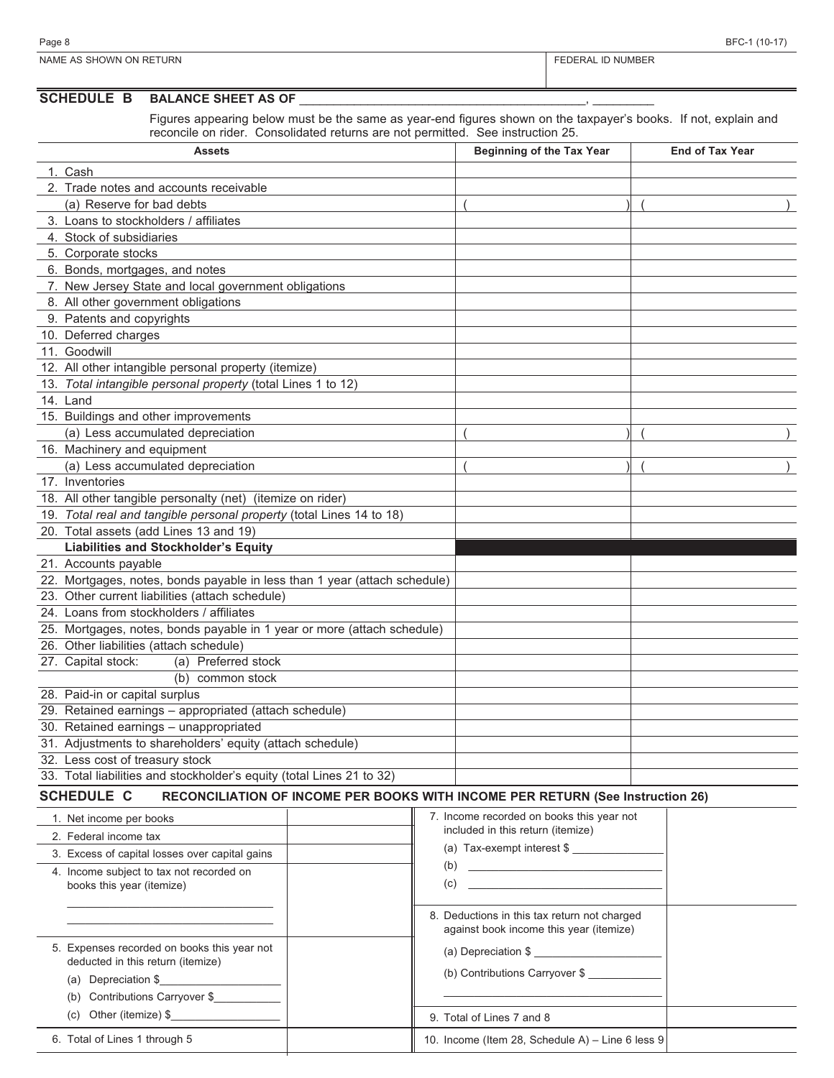| Page<br>                                            | $\overline{\phantom{a}}$<br>חה<br>oг |
|-----------------------------------------------------|--------------------------------------|
| ON RETURN<br>SHOWN<br>NAME<br>$\triangle \subseteq$ | D NUMBEF<br>つハー                      |

#### **SCHEDULE B BALANCE SHEET AS OF**

Figures appearing below must be the same as year-end figures shown on the taxpayer's books. If not, explain and reconcile on rider. Consolidated returns are not permitted. See instruction 25.

| <b>Assets</b>                                                                                       | <b>Beginning of the Tax Year</b> | <b>End of Tax Year</b> |
|-----------------------------------------------------------------------------------------------------|----------------------------------|------------------------|
| 1. Cash                                                                                             |                                  |                        |
| 2. Trade notes and accounts receivable                                                              |                                  |                        |
| (a) Reserve for bad debts                                                                           |                                  |                        |
| 3. Loans to stockholders / affiliates                                                               |                                  |                        |
| 4. Stock of subsidiaries                                                                            |                                  |                        |
| 5. Corporate stocks                                                                                 |                                  |                        |
| 6. Bonds, mortgages, and notes                                                                      |                                  |                        |
| 7. New Jersey State and local government obligations                                                |                                  |                        |
| 8. All other government obligations                                                                 |                                  |                        |
| 9. Patents and copyrights                                                                           |                                  |                        |
| 10. Deferred charges                                                                                |                                  |                        |
| 11. Goodwill                                                                                        |                                  |                        |
| 12. All other intangible personal property (itemize)                                                |                                  |                        |
| 13. Total intangible personal property (total Lines 1 to 12)                                        |                                  |                        |
| 14. Land                                                                                            |                                  |                        |
| 15. Buildings and other improvements                                                                |                                  |                        |
| (a) Less accumulated depreciation                                                                   |                                  |                        |
| 16. Machinery and equipment                                                                         |                                  |                        |
| (a) Less accumulated depreciation                                                                   |                                  |                        |
| 17. Inventories                                                                                     |                                  |                        |
| 18. All other tangible personalty (net) (itemize on rider)                                          |                                  |                        |
| 19. Total real and tangible personal property (total Lines 14 to 18)                                |                                  |                        |
| 20. Total assets (add Lines 13 and 19)                                                              |                                  |                        |
| <b>Liabilities and Stockholder's Equity</b>                                                         |                                  |                        |
| 21. Accounts payable                                                                                |                                  |                        |
| 22. Mortgages, notes, bonds payable in less than 1 year (attach schedule)                           |                                  |                        |
| 23. Other current liabilities (attach schedule)                                                     |                                  |                        |
| 24. Loans from stockholders / affiliates                                                            |                                  |                        |
| 25. Mortgages, notes, bonds payable in 1 year or more (attach schedule)                             |                                  |                        |
| 26. Other liabilities (attach schedule)                                                             |                                  |                        |
| 27. Capital stock:<br>(a) Preferred stock                                                           |                                  |                        |
| (b) common stock                                                                                    |                                  |                        |
| 28. Paid-in or capital surplus                                                                      |                                  |                        |
| 29. Retained earnings - appropriated (attach schedule)                                              |                                  |                        |
| 30. Retained earnings - unappropriated                                                              |                                  |                        |
| 31. Adjustments to shareholders' equity (attach schedule)                                           |                                  |                        |
| 32. Less cost of treasury stock                                                                     |                                  |                        |
| 33. Total liabilities and stockholder's equity (total Lines 21 to 32)                               |                                  |                        |
| <b>SCHEDULE C</b><br>RECONCILIATION OF INCOME PER BOOKS WITH INCOME PER RETURN (See Instruction 26) |                                  |                        |

| 1. Net income per books                        | 7. Income recorded on books this year not        |
|------------------------------------------------|--------------------------------------------------|
| 2. Federal income tax                          | included in this return (itemize)                |
| 3. Excess of capital losses over capital gains | (a) Tax-exempt interest $$$                      |
| 4. Income subject to tax not recorded on       | (b)                                              |
| books this year (itemize)                      | (c)                                              |
| 5. Expenses recorded on books this year not    | 8. Deductions in this tax return not charged     |
| deducted in this return (itemize)              | against book income this year (itemize)          |
| (a) Depreciation \$                            | (a) Depreciation \$                              |
| (b) Contributions Carryover \$                 | (b) Contributions Carryover \$                   |
| (c) Other (itemize) $$$                        | 9. Total of Lines 7 and 8                        |
| 6. Total of Lines 1 through 5                  | 10. Income (Item 28, Schedule A) - Line 6 less 9 |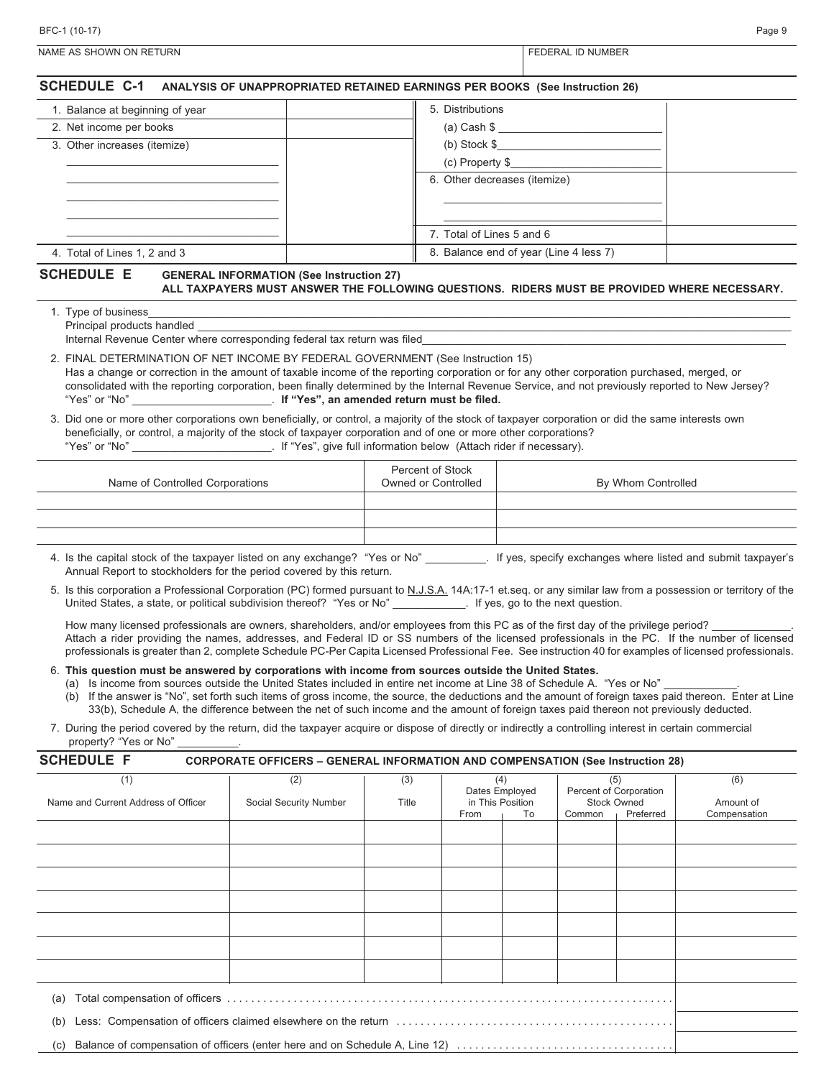| 1. Balance at beginning of year                                      | 5. Distributions                                                                            |  |
|----------------------------------------------------------------------|---------------------------------------------------------------------------------------------|--|
| 2. Net income per books                                              | $(a)$ Cash $\$\$                                                                            |  |
| 3. Other increases (itemize)                                         | $(b)$ Stock $\frac{6}{3}$                                                                   |  |
|                                                                      | (c) Property \$_                                                                            |  |
|                                                                      | 6. Other decreases (itemize)                                                                |  |
|                                                                      | 7. Total of Lines 5 and 6                                                                   |  |
| 4. Total of Lines 1, 2 and 3                                         | 8. Balance end of year (Line 4 less 7)                                                      |  |
| <b>SCHEDULE E</b><br><b>GENERAL INFORMATION (See Instruction 27)</b> | ALL TAXPAYERS MUST ANSWER THE FOLLOWING QUESTIONS. RIDERS MUST BE PROVIDED WHERE NECESSARY. |  |
| 1. Type of business<br>Principal products handled                    |                                                                                             |  |

NAME AS SHOWN ON RETURN FEDERAL ID NUMBER

| Internal Revenue Center where corresponding federal tax return was filed |  |
|--------------------------------------------------------------------------|--|
|                                                                          |  |

- 2. FINAL DETERMINATION OF NET INCOME BY FEDERAL GOVERNMENT (See Instruction 15) Has a change or correction in the amount of taxable income of the reporting corporation or for any other corporation purchased, merged, or consolidated with the reporting corporation, been finally determined by the Internal Revenue Service, and not previously reported to New Jersey? "Yes" or "No" \_\_\_\_\_\_\_\_\_\_\_\_\_\_\_\_\_\_\_\_\_\_\_. **If "Yes", an amended return must be filed.**
- 3. Did one or more other corporations own beneficially, or control, a majority of the stock of taxpayer corporation or did the same interests own beneficially, or control, a majority of the stock of taxpayer corporation and of one or more other corporations?<br>"Yes" or "No" . If "Yes", give full information below (Attach rider if necessary). . If "Yes", give full information below (Attach rider if necessary).

| Name of Controlled Corporations | Percent of Stock<br>Owned or Controlled | By Whom Controlled |
|---------------------------------|-----------------------------------------|--------------------|
|                                 |                                         |                    |
|                                 |                                         |                    |
|                                 |                                         |                    |
|                                 |                                         |                    |

- 4. Is the capital stock of the taxpayer listed on any exchange? "Yes or No" \_\_\_\_\_\_\_\_\_\_. If yes, specify exchanges where listed and submit taxpayer's Annual Report to stockholders for the period covered by this return.
- 5. Is this corporation a Professional Corporation (PC) formed pursuant to N.J.S.A. 14A:17-1 et.seq. or any similar law from a possession or territory of the United States, a state, or political subdivision thereof? "Yes or No" Figures, go to the next question.

How many licensed professionals are owners, shareholders, and/or employees from this PC as of the first day of the privilege period? Attach a rider providing the names, addresses, and Federal ID or SS numbers of the licensed professionals in the PC. If the number of licensed professionals is greater than 2, complete Schedule PC-Per Capita Licensed Professional Fee. See instruction 40 for examples of licensed professionals.

- 6. **This question must be answered by corporations with income from sources outside the United States.**
	- (a) Is income from sources outside the United States included in entire net income at Line 38 of Schedule A. "Yes or No" (b) If the answer is "No", set forth such items of gross income, the source, the deductions and the amount of foreign taxes paid thereon. Enter at Line 33(b), Schedule A, the difference between the net of such income and the amount of foreign taxes paid thereon not previously deducted.
- 7. During the period covered by the return, did the taxpayer acquire or dispose of directly or indirectly a controlling interest in certain commercial property? "Yes or No"

| (1)                                                                                | (2)                    | (3)   |      | (4)              |        | (5)                    | (6)          |
|------------------------------------------------------------------------------------|------------------------|-------|------|------------------|--------|------------------------|--------------|
|                                                                                    |                        |       |      | Dates Employed   |        | Percent of Corporation |              |
| Name and Current Address of Officer                                                | Social Security Number | Title |      | in This Position |        | <b>Stock Owned</b>     | Amount of    |
|                                                                                    |                        |       | From | To               | Common | Preferred              | Compensation |
|                                                                                    |                        |       |      |                  |        |                        |              |
|                                                                                    |                        |       |      |                  |        |                        |              |
|                                                                                    |                        |       |      |                  |        |                        |              |
|                                                                                    |                        |       |      |                  |        |                        |              |
|                                                                                    |                        |       |      |                  |        |                        |              |
|                                                                                    |                        |       |      |                  |        |                        |              |
|                                                                                    |                        |       |      |                  |        |                        |              |
|                                                                                    |                        |       |      |                  |        |                        |              |
|                                                                                    |                        |       |      |                  |        |                        |              |
| (a)                                                                                |                        |       |      |                  |        |                        |              |
| (b)                                                                                |                        |       |      |                  |        |                        |              |
| Balance of compensation of officers (enter here and on Schedule A, Line 12)<br>(c) |                        |       |      |                  |        |                        |              |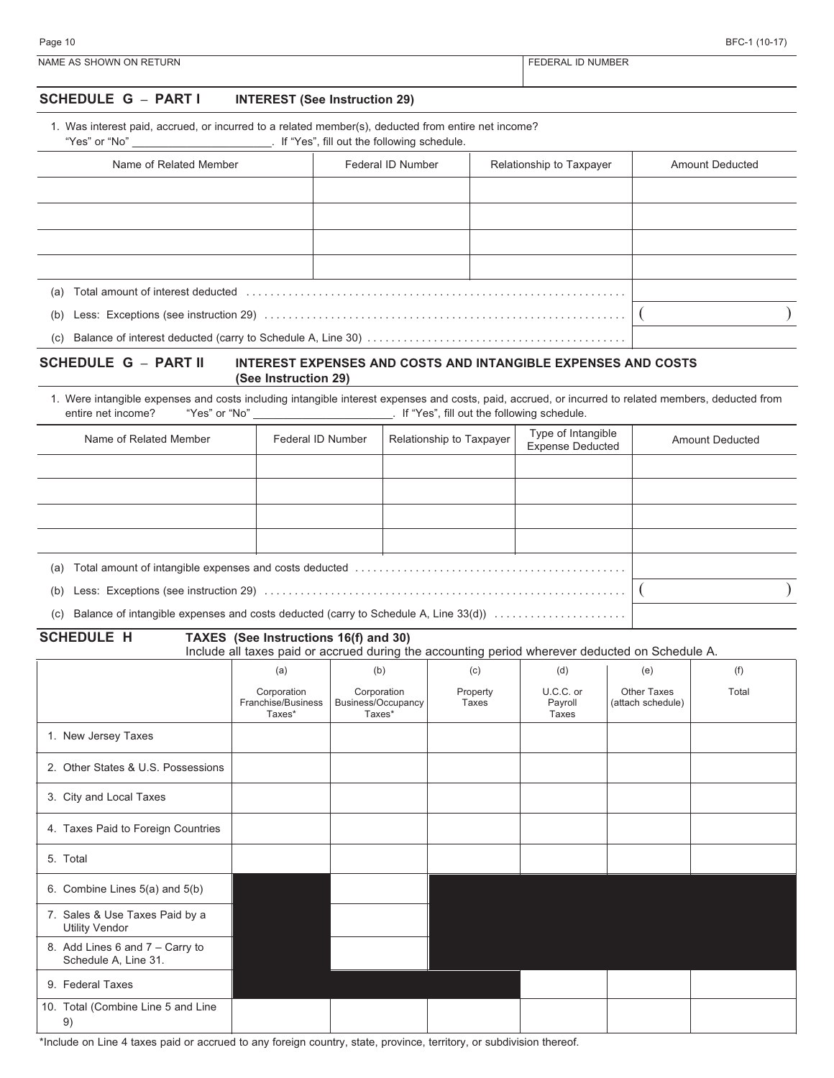| BFC-1 (10-17) |  |  |
|---------------|--|--|
|---------------|--|--|

| Page 10                 | BFC-1 (10-17)     |
|-------------------------|-------------------|
| NAME AS SHOWN ON RETURN | FEDERAL ID NUMBER |

#### **SCHEDULE G – PART I INTEREST (See Instruction 29)**

1. Was interest paid, accrued, or incurred to a related member(s), deducted from entire net income?

"Yes" or "No" \_\_\_\_\_\_\_\_\_\_\_\_\_\_\_\_\_\_\_\_\_\_\_. If "Yes", fill out the following schedule.

| Name of Related Member | Federal ID Number | Relationship to Taxpayer | <b>Amount Deducted</b> |
|------------------------|-------------------|--------------------------|------------------------|
|                        |                   |                          |                        |
|                        |                   |                          |                        |
|                        |                   |                          |                        |
|                        |                   |                          |                        |
| (a)                    |                   |                          |                        |
| (b)                    |                   |                          |                        |
| (c)                    |                   |                          |                        |

#### **SCHEDULE G – PART II INTEREST EXPENSES AND COSTS AND INTANGIBLE EXPENSES AND COSTS (See Instruction 29)**

1. Were intangible expenses and costs including intangible interest expenses and costs, paid, accrued, or incurred to related members, deducted from entire net income? "Yes" or "No" \_\_\_\_\_\_\_\_\_\_\_\_\_\_\_\_\_\_\_\_\_\_\_. If "Yes", fill out the following schedule.

| Name of Related Member                                                                     | Federal ID Number | Relationship to Taxpayer | Type of Intangible<br><b>Expense Deducted</b> | <b>Amount Deducted</b> |
|--------------------------------------------------------------------------------------------|-------------------|--------------------------|-----------------------------------------------|------------------------|
|                                                                                            |                   |                          |                                               |                        |
|                                                                                            |                   |                          |                                               |                        |
|                                                                                            |                   |                          |                                               |                        |
|                                                                                            |                   |                          |                                               |                        |
| (a)                                                                                        |                   |                          |                                               |                        |
| (b)                                                                                        |                   |                          |                                               |                        |
| Balance of intangible expenses and costs deducted (carry to Schedule A, Line 33(d))<br>(c) |                   |                          |                                               |                        |

**SCHEDULE H TAXES (See Instructions 16(f) and 30)**

Include all taxes paid or accrued during the accounting period wherever deducted on Schedule A.

|                                                         | (a)                                         | (b)                                         | (c)               | (d)                           | (e)                                     | (f)   |
|---------------------------------------------------------|---------------------------------------------|---------------------------------------------|-------------------|-------------------------------|-----------------------------------------|-------|
|                                                         | Corporation<br>Franchise/Business<br>Taxes* | Corporation<br>Business/Occupancy<br>Taxes* | Property<br>Taxes | U.C.C. or<br>Payroll<br>Taxes | <b>Other Taxes</b><br>(attach schedule) | Total |
| 1. New Jersey Taxes                                     |                                             |                                             |                   |                               |                                         |       |
| 2. Other States & U.S. Possessions                      |                                             |                                             |                   |                               |                                         |       |
| 3. City and Local Taxes                                 |                                             |                                             |                   |                               |                                         |       |
| 4. Taxes Paid to Foreign Countries                      |                                             |                                             |                   |                               |                                         |       |
| 5. Total                                                |                                             |                                             |                   |                               |                                         |       |
| 6. Combine Lines 5(a) and 5(b)                          |                                             |                                             |                   |                               |                                         |       |
| 7. Sales & Use Taxes Paid by a<br><b>Utility Vendor</b> |                                             |                                             |                   |                               |                                         |       |
| 8. Add Lines 6 and 7 - Carry to<br>Schedule A, Line 31. |                                             |                                             |                   |                               |                                         |       |
| 9. Federal Taxes                                        |                                             |                                             |                   |                               |                                         |       |
| 10. Total (Combine Line 5 and Line<br>9)                |                                             |                                             |                   |                               |                                         |       |

\*Include on Line 4 taxes paid or accrued to any foreign country, state, province, territory, or subdivision thereof.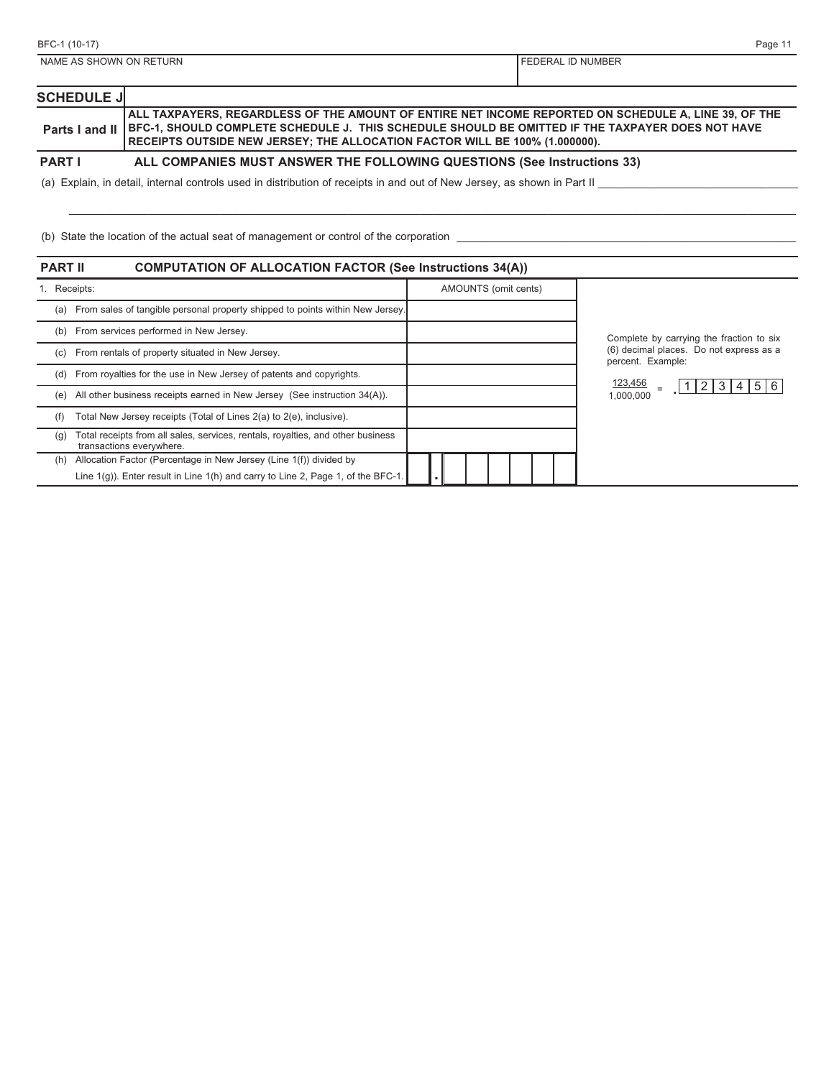| BFC-1 (10-17)           | Page 1 <sup>*</sup>        |
|-------------------------|----------------------------|
| NAME AS SHOWN ON RETURN | <b>I FEDERAL ID NUMBER</b> |
|                         |                            |

| <b>SCHEDULE J</b> |                                                                                                                                                                                                                                                                                                                   |  |
|-------------------|-------------------------------------------------------------------------------------------------------------------------------------------------------------------------------------------------------------------------------------------------------------------------------------------------------------------|--|
|                   | ALL TAXPAYERS, REGARDLESS OF THE AMOUNT OF ENTIRE NET INCOME REPORTED ON SCHEDULE A, LINE 39, OF THE  <br>Parts I and II   BFC-1, SHOULD COMPLETE SCHEDULE J. THIS SCHEDULE SHOULD BE OMITTED IF THE TAXPAYER DOES NOT HAVE<br><b>RECEIPTS OUTSIDE NEW JERSEY; THE ALLOCATION FACTOR WILL BE 100% (1.000000).</b> |  |
| <b>PART I</b>     | ALL COMPANIES MUST ANSWER THE FOLLOWING QUESTIONS (See Instructions 33)                                                                                                                                                                                                                                           |  |
|                   | (a) Explain, in detail, internal controls used in distribution of receipts in and out of New Jersey, as shown in Part II                                                                                                                                                                                          |  |

\_\_\_\_\_\_\_\_\_\_\_\_\_\_\_\_\_\_\_\_\_\_\_\_\_\_\_\_\_\_\_\_\_\_\_\_\_\_\_\_\_\_\_\_\_\_\_\_\_\_\_\_\_\_\_\_\_\_\_\_\_\_\_\_\_\_\_\_\_\_\_\_\_\_\_\_\_\_\_\_\_\_\_\_\_\_\_\_\_\_\_\_\_\_\_\_\_\_\_\_\_\_\_\_\_\_\_\_\_\_\_\_\_\_\_\_\_\_\_\_

(b) State the location of the actual seat of management or control of the corporation \_\_\_\_\_\_\_\_\_\_\_\_\_\_\_\_\_\_\_\_\_\_\_\_\_\_\_\_\_\_\_\_\_\_\_\_\_\_\_\_\_\_\_\_\_\_\_\_\_\_\_\_\_\_\_\_

| <b>PART II</b> | <b>COMPUTATION OF ALLOCATION FACTOR (See Instructions 34(A))</b>                                            |                      |                                                              |
|----------------|-------------------------------------------------------------------------------------------------------------|----------------------|--------------------------------------------------------------|
| 1. Receipts:   |                                                                                                             | AMOUNTS (omit cents) |                                                              |
| (a)            | From sales of tangible personal property shipped to points within New Jersey.                               |                      |                                                              |
| (b)            | From services performed in New Jersey.                                                                      |                      | Complete by carrying the fraction to six                     |
| (c)            | From rentals of property situated in New Jersey.                                                            |                      | (6) decimal places. Do not express as a<br>percent. Example: |
| (d)            | From royalties for the use in New Jersey of patents and copyrights.                                         |                      | 123,456                                                      |
| (e)            | All other business receipts earned in New Jersey (See instruction 34(A)).                                   |                      | 4 5 6<br>2 3 <br>1,000,000                                   |
| (f)            | Total New Jersey receipts (Total of Lines 2(a) to 2(e), inclusive).                                         |                      |                                                              |
| (g)            | Total receipts from all sales, services, rentals, royalties, and other business<br>transactions everywhere. |                      |                                                              |
| (h)            | Allocation Factor (Percentage in New Jersey (Line 1(f)) divided by                                          |                      |                                                              |
|                | Line $1(g)$ ). Enter result in Line $1(h)$ and carry to Line 2, Page 1, of the BFC-1.                       |                      |                                                              |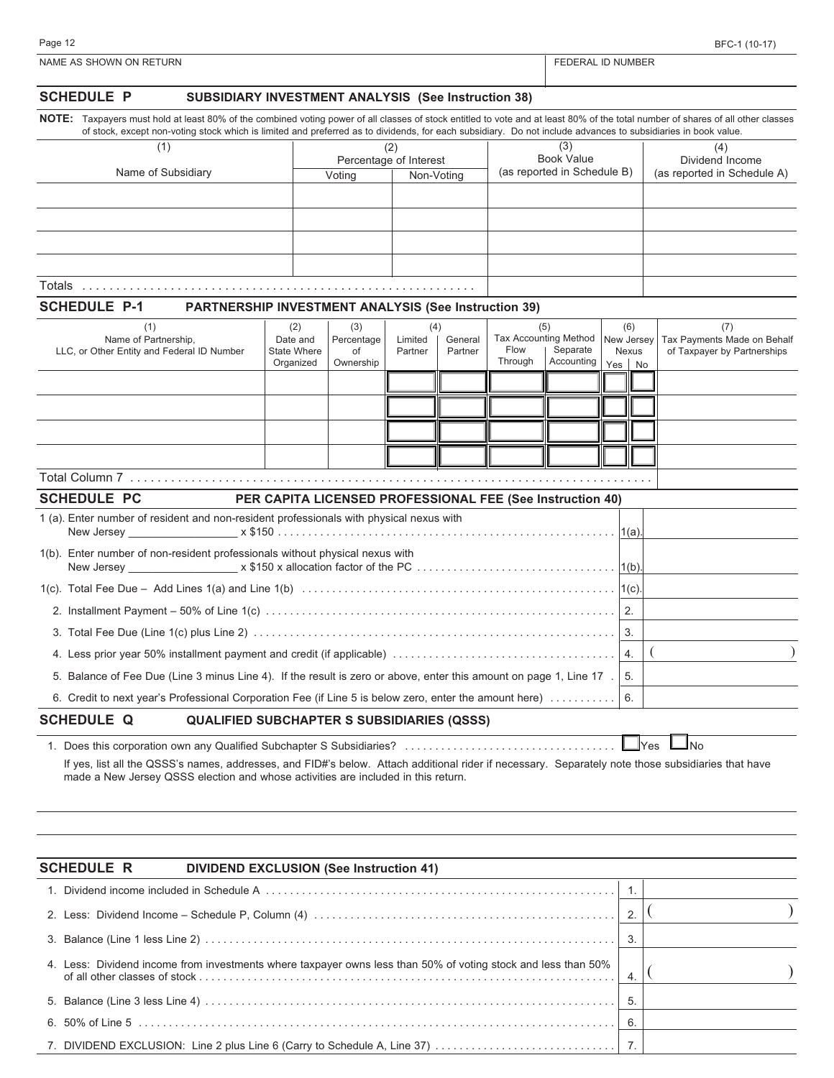| ane |  |  |
|-----|--|--|
|     |  |  |

| <b>SCHEDULE P</b><br><b>SUBSIDIARY INVESTMENT ANALYSIS (See Instruction 38)</b>                                                                                                                                                                                                                                                                   |                                                           |                                      |                           |                    |                                                        |                        |                                         |                                                                   |  |
|---------------------------------------------------------------------------------------------------------------------------------------------------------------------------------------------------------------------------------------------------------------------------------------------------------------------------------------------------|-----------------------------------------------------------|--------------------------------------|---------------------------|--------------------|--------------------------------------------------------|------------------------|-----------------------------------------|-------------------------------------------------------------------|--|
| NOTE: Taxpayers must hold at least 80% of the combined voting power of all classes of stock entitled to vote and at least 80% of the total number of shares of all other classes<br>of stock, except non-voting stock which is limited and preferred as to dividends, for each subsidiary. Do not include advances to subsidiaries in book value. |                                                           |                                      |                           |                    |                                                        |                        |                                         |                                                                   |  |
| (1)                                                                                                                                                                                                                                                                                                                                               |                                                           |                                      | (2)                       |                    |                                                        | (3)                    |                                         | (4)                                                               |  |
|                                                                                                                                                                                                                                                                                                                                                   |                                                           | Percentage of Interest               |                           |                    | <b>Book Value</b><br>(as reported in Schedule B)       |                        |                                         | Dividend Income                                                   |  |
| Name of Subsidiary                                                                                                                                                                                                                                                                                                                                |                                                           | Voting                               |                           | Non-Voting         |                                                        |                        |                                         | (as reported in Schedule A)                                       |  |
|                                                                                                                                                                                                                                                                                                                                                   |                                                           |                                      |                           |                    |                                                        |                        |                                         |                                                                   |  |
|                                                                                                                                                                                                                                                                                                                                                   |                                                           |                                      |                           |                    |                                                        |                        |                                         |                                                                   |  |
|                                                                                                                                                                                                                                                                                                                                                   |                                                           |                                      |                           |                    |                                                        |                        |                                         |                                                                   |  |
|                                                                                                                                                                                                                                                                                                                                                   |                                                           |                                      |                           |                    |                                                        |                        |                                         |                                                                   |  |
| <b>SCHEDULE P-1</b><br><b>PARTNERSHIP INVESTMENT ANALYSIS (See Instruction 39)</b>                                                                                                                                                                                                                                                                |                                                           |                                      |                           |                    |                                                        |                        |                                         |                                                                   |  |
| (1)<br>Name of Partnership,<br>LLC, or Other Entity and Federal ID Number                                                                                                                                                                                                                                                                         | (2)<br>Date and<br><b>State Where</b><br>Organized        | (3)<br>Percentage<br>of<br>Ownership | (4)<br>Limited<br>Partner | General<br>Partner | (5)<br><b>Tax Accounting Method</b><br>Flow<br>Through | Separate<br>Accounting | (6)<br>New Jersey<br>Nexus<br>Yes<br>No | (7)<br>Tax Payments Made on Behalf<br>of Taxpayer by Partnerships |  |
|                                                                                                                                                                                                                                                                                                                                                   |                                                           |                                      |                           |                    |                                                        |                        |                                         |                                                                   |  |
|                                                                                                                                                                                                                                                                                                                                                   |                                                           |                                      |                           |                    |                                                        |                        |                                         |                                                                   |  |
|                                                                                                                                                                                                                                                                                                                                                   |                                                           |                                      |                           |                    |                                                        |                        |                                         |                                                                   |  |
|                                                                                                                                                                                                                                                                                                                                                   |                                                           |                                      |                           |                    |                                                        |                        |                                         |                                                                   |  |
|                                                                                                                                                                                                                                                                                                                                                   |                                                           |                                      |                           |                    |                                                        |                        |                                         |                                                                   |  |
| <b>SCHEDULE PC</b>                                                                                                                                                                                                                                                                                                                                | PER CAPITA LICENSED PROFESSIONAL FEE (See Instruction 40) |                                      |                           |                    |                                                        |                        |                                         |                                                                   |  |
| 1 (a). Enter number of resident and non-resident professionals with physical nexus with                                                                                                                                                                                                                                                           |                                                           |                                      |                           |                    |                                                        |                        |                                         |                                                                   |  |
| 1(b). Enter number of non-resident professionals without physical nexus with                                                                                                                                                                                                                                                                      |                                                           |                                      |                           |                    |                                                        |                        |                                         |                                                                   |  |
|                                                                                                                                                                                                                                                                                                                                                   |                                                           |                                      |                           |                    |                                                        |                        |                                         |                                                                   |  |
|                                                                                                                                                                                                                                                                                                                                                   |                                                           |                                      |                           |                    |                                                        |                        | $\overline{2}$ .                        |                                                                   |  |
|                                                                                                                                                                                                                                                                                                                                                   |                                                           |                                      |                           |                    |                                                        |                        | 3.                                      |                                                                   |  |
|                                                                                                                                                                                                                                                                                                                                                   |                                                           |                                      |                           |                    |                                                        |                        | 4.                                      |                                                                   |  |
| 5. Balance of Fee Due (Line 3 minus Line 4). If the result is zero or above, enter this amount on page 1, Line 17.                                                                                                                                                                                                                                |                                                           |                                      |                           |                    |                                                        |                        | 5.                                      |                                                                   |  |
| 6. Credit to next year's Professional Corporation Fee (if Line 5 is below zero, enter the amount here)                                                                                                                                                                                                                                            |                                                           |                                      |                           |                    |                                                        |                        | 6.                                      |                                                                   |  |
| <b>SCHEDULE Q</b><br><b>QUALIFIED SUBCHAPTER S SUBSIDIARIES (QSSS)</b>                                                                                                                                                                                                                                                                            |                                                           |                                      |                           |                    |                                                        |                        |                                         |                                                                   |  |
| If yes, list all the QSSS's names, addresses, and FID#'s below. Attach additional rider if necessary. Separately note those subsidiaries that have<br>made a New Jersey QSSS election and whose activities are included in this return.                                                                                                           |                                                           |                                      |                           |                    |                                                        |                        |                                         | lNo<br><b>I</b> Yes                                               |  |
| <b>SCHEDULE R</b><br><b>DIVIDEND EXCLUSION (See Instruction 41)</b>                                                                                                                                                                                                                                                                               |                                                           |                                      |                           |                    |                                                        |                        |                                         |                                                                   |  |
|                                                                                                                                                                                                                                                                                                                                                   |                                                           |                                      |                           |                    |                                                        |                        | 1.                                      |                                                                   |  |
|                                                                                                                                                                                                                                                                                                                                                   |                                                           |                                      |                           |                    |                                                        |                        | 2.                                      |                                                                   |  |
|                                                                                                                                                                                                                                                                                                                                                   |                                                           |                                      |                           |                    |                                                        |                        | 3.                                      |                                                                   |  |
| 4. Less: Dividend income from investments where taxpayer owns less than 50% of voting stock and less than 50%                                                                                                                                                                                                                                     |                                                           |                                      |                           |                    |                                                        |                        | 4.                                      |                                                                   |  |
|                                                                                                                                                                                                                                                                                                                                                   |                                                           |                                      |                           |                    |                                                        |                        | 5.                                      |                                                                   |  |
|                                                                                                                                                                                                                                                                                                                                                   |                                                           |                                      |                           |                    |                                                        |                        | 6.                                      |                                                                   |  |

7. DIVIDEND EXCLUSION: Line 2 plus Line 6 (Carry to Schedule A, Line 37) . . . . . . . . . . . . . . . . . . . . . . . . . . . . . . 7.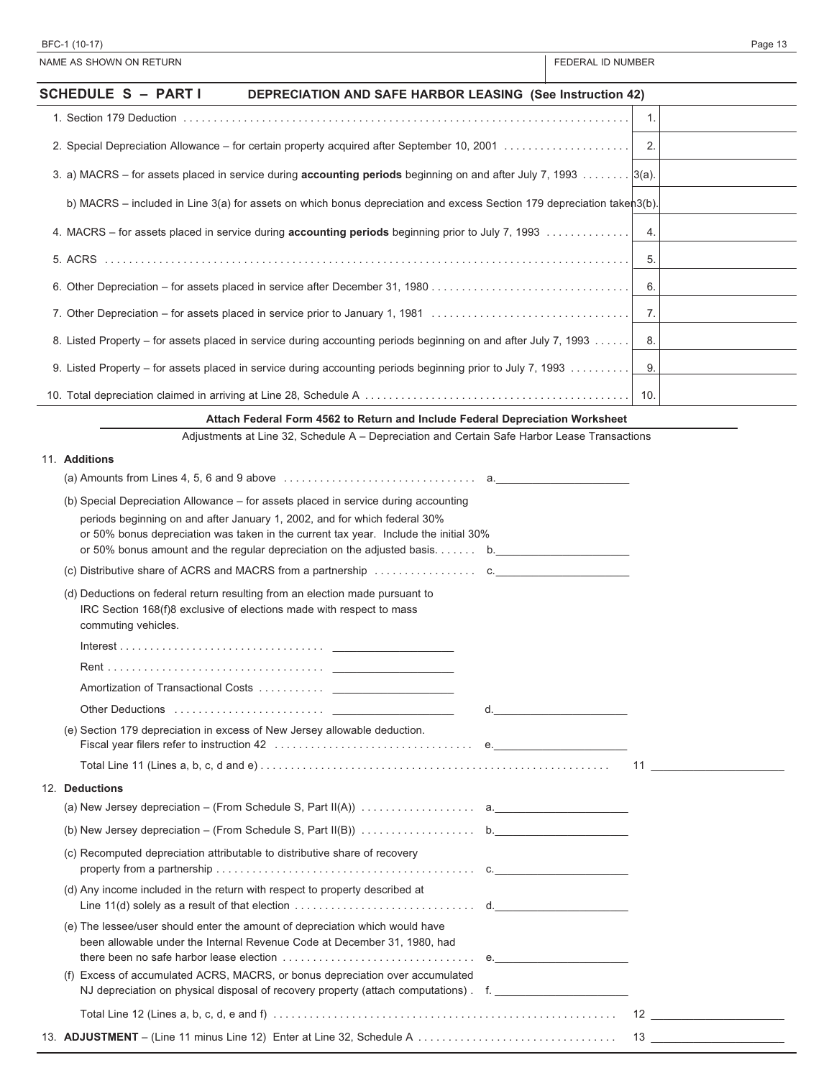| BFC-1 (10-17)                                                                                                                                                                                                                                    |                   | Page 13 |
|--------------------------------------------------------------------------------------------------------------------------------------------------------------------------------------------------------------------------------------------------|-------------------|---------|
| NAME AS SHOWN ON RETURN                                                                                                                                                                                                                          | FEDERAL ID NUMBER |         |
| <b>SCHEDULE S - PARTI</b><br><b>DEPRECIATION AND SAFE HARBOR LEASING (See Instruction 42)</b>                                                                                                                                                    |                   |         |
|                                                                                                                                                                                                                                                  | 1.                |         |
|                                                                                                                                                                                                                                                  | 2.                |         |
| 3. a) MACRS – for assets placed in service during accounting periods beginning on and after July 7, 1993 [3(a).                                                                                                                                  |                   |         |
| b) MACRS - included in Line 3(a) for assets on which bonus depreciation and excess Section 179 depreciation takeh3(b).                                                                                                                           |                   |         |
| 4. MACRS – for assets placed in service during accounting periods beginning prior to July 7, 1993                                                                                                                                                | 4.                |         |
|                                                                                                                                                                                                                                                  | 5.                |         |
|                                                                                                                                                                                                                                                  | 6.                |         |
| 7. Other Depreciation - for assets placed in service prior to January 1, 1981                                                                                                                                                                    | 7.                |         |
| 8. Listed Property – for assets placed in service during accounting periods beginning on and after July 7, 1993                                                                                                                                  | 8.                |         |
| 9. Listed Property – for assets placed in service during accounting periods beginning prior to July 7, 1993                                                                                                                                      | 9.                |         |
|                                                                                                                                                                                                                                                  | 10.               |         |
| Attach Federal Form 4562 to Return and Include Federal Depreciation Worksheet                                                                                                                                                                    |                   |         |
| Adjustments at Line 32, Schedule A - Depreciation and Certain Safe Harbor Lease Transactions                                                                                                                                                     |                   |         |
| 11. Additions                                                                                                                                                                                                                                    |                   |         |
|                                                                                                                                                                                                                                                  |                   |         |
| (b) Special Depreciation Allowance – for assets placed in service during accounting                                                                                                                                                              |                   |         |
| periods beginning on and after January 1, 2002, and for which federal 30%<br>or 50% bonus depreciation was taken in the current tax year. Include the initial 30%<br>or 50% bonus amount and the regular depreciation on the adjusted basis $b.$ |                   |         |
|                                                                                                                                                                                                                                                  |                   |         |
| (d) Deductions on federal return resulting from an election made pursuant to<br>IRC Section 168(f)8 exclusive of elections made with respect to mass<br>commuting vehicles.                                                                      |                   |         |
|                                                                                                                                                                                                                                                  |                   |         |
|                                                                                                                                                                                                                                                  |                   |         |
|                                                                                                                                                                                                                                                  |                   |         |
|                                                                                                                                                                                                                                                  |                   |         |
| (e) Section 179 depreciation in excess of New Jersey allowable deduction.                                                                                                                                                                        |                   |         |
|                                                                                                                                                                                                                                                  |                   |         |
| 12. Deductions                                                                                                                                                                                                                                   |                   |         |
|                                                                                                                                                                                                                                                  |                   |         |
|                                                                                                                                                                                                                                                  |                   |         |
| (c) Recomputed depreciation attributable to distributive share of recovery                                                                                                                                                                       |                   |         |
|                                                                                                                                                                                                                                                  |                   |         |
| (d) Any income included in the return with respect to property described at                                                                                                                                                                      |                   |         |
| (e) The lessee/user should enter the amount of depreciation which would have<br>been allowable under the Internal Revenue Code at December 31, 1980, had                                                                                         |                   |         |
| (f) Excess of accumulated ACRS, MACRS, or bonus depreciation over accumulated<br>NJ depreciation on physical disposal of recovery property (attach computations). f.                                                                             |                   |         |
|                                                                                                                                                                                                                                                  |                   |         |
|                                                                                                                                                                                                                                                  |                   |         |
|                                                                                                                                                                                                                                                  |                   |         |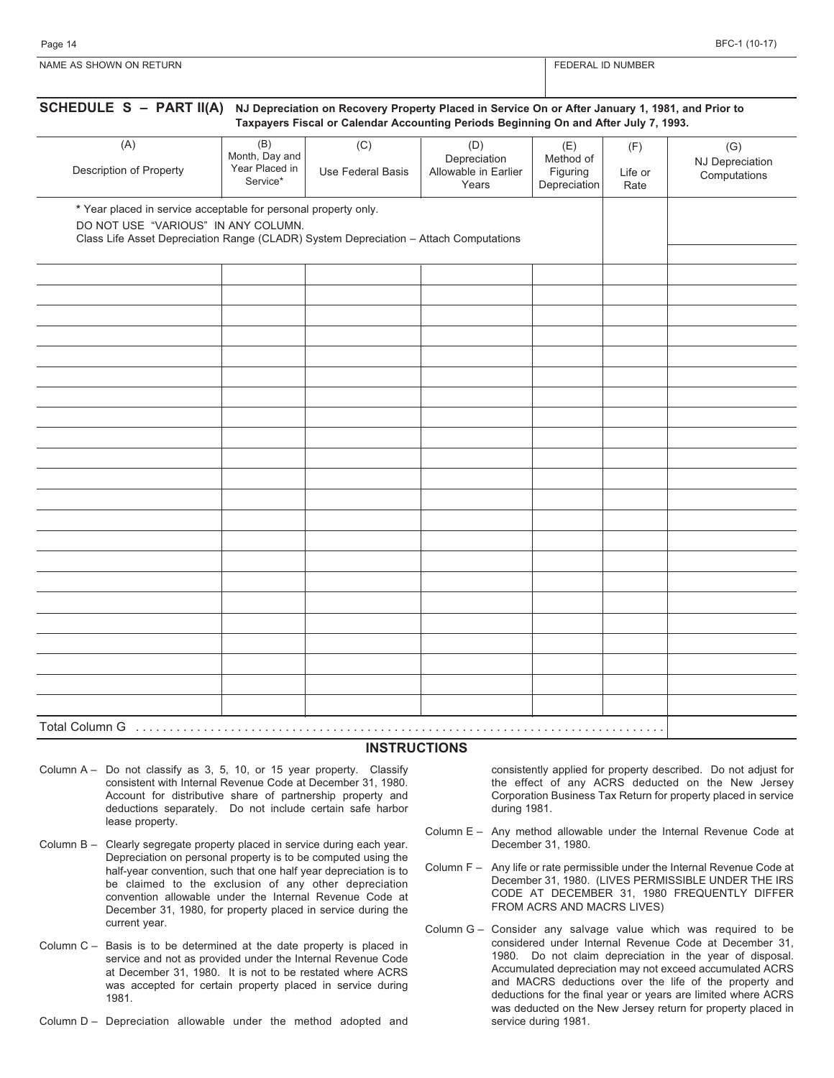Page 14 BFC-1 (10-17)

| ' ON RETURN<br><b>NAME AS SHO</b><br><b>OWN</b> | <b>NUMBER</b><br>-RAI<br>. |
|-------------------------------------------------|----------------------------|
|                                                 |                            |

| (A)                                                                                                                                                                                             | (B)<br>Month, Day and      | (C)               | (D)<br>Depreciation           | (E)<br>Method of         | (F)             | (G)<br><b>NJ Depreciation</b> |
|-------------------------------------------------------------------------------------------------------------------------------------------------------------------------------------------------|----------------------------|-------------------|-------------------------------|--------------------------|-----------------|-------------------------------|
| Description of Property                                                                                                                                                                         | Year Placed in<br>Service* | Use Federal Basis | Allowable in Earlier<br>Years | Figuring<br>Depreciation | Life or<br>Rate | Computations                  |
| * Year placed in service acceptable for personal property only.<br>DO NOT USE "VARIOUS" IN ANY COLUMN.<br>Class Life Asset Depreciation Range (CLADR) System Depreciation - Attach Computations |                            |                   |                               |                          |                 |                               |
|                                                                                                                                                                                                 |                            |                   |                               |                          |                 |                               |
|                                                                                                                                                                                                 |                            |                   |                               |                          |                 |                               |
|                                                                                                                                                                                                 |                            |                   |                               |                          |                 |                               |
|                                                                                                                                                                                                 |                            |                   |                               |                          |                 |                               |
|                                                                                                                                                                                                 |                            |                   |                               |                          |                 |                               |
|                                                                                                                                                                                                 |                            |                   |                               |                          |                 |                               |
|                                                                                                                                                                                                 |                            |                   |                               |                          |                 |                               |
|                                                                                                                                                                                                 |                            |                   |                               |                          |                 |                               |
|                                                                                                                                                                                                 |                            |                   |                               |                          |                 |                               |
|                                                                                                                                                                                                 |                            |                   |                               |                          |                 |                               |
|                                                                                                                                                                                                 |                            |                   |                               |                          |                 |                               |
|                                                                                                                                                                                                 |                            |                   |                               |                          |                 |                               |
|                                                                                                                                                                                                 |                            |                   |                               |                          |                 |                               |
|                                                                                                                                                                                                 |                            |                   |                               |                          |                 |                               |

#### **INSTRUCTIONS**

- Column A Do not classify as 3, 5, 10, or 15 year property. Classify consistent with Internal Revenue Code at December 31, 1980. Account for distributive share of partnership property and deductions separately. Do not include certain safe harbor lease property.
- Column B Clearly segregate property placed in service during each year. Depreciation on personal property is to be computed using the half-year convention, such that one half year depreciation is to be claimed to the exclusion of any other depreciation convention allowable under the Internal Revenue Code at December 31, 1980, for property placed in service during the current year.
- Column C Basis is to be determined at the date property is placed in service and not as provided under the Internal Revenue Code at December 31, 1980. It is not to be restated where ACRS was accepted for certain property placed in service during 1981.
- Column D Depreciation allowable under the method adopted and

consistently applied for property described. Do not adjust for the effect of any ACRS deducted on the New Jersey Corporation Business Tax Return for property placed in service during 1981.

- Column E Any method allowable under the Internal Revenue Code at December 31, 1980.
- Column F Any life or rate permissible under the Internal Revenue Code at December 31, 1980. (LIVES PERMISSIBLE UNDER THE IRS CODE AT DECEMBER 31, 1980 FREQUENTLY DIFFER FROM ACRS AND MACRS LIVES)
- Column G Consider any salvage value which was required to be considered under Internal Revenue Code at December 31, 1980. Do not claim depreciation in the year of disposal. Accumulated depreciation may not exceed accumulated ACRS and MACRS deductions over the life of the property and deductions for the final year or years are limited where ACRS was deducted on the New Jersey return for property placed in service during 1981.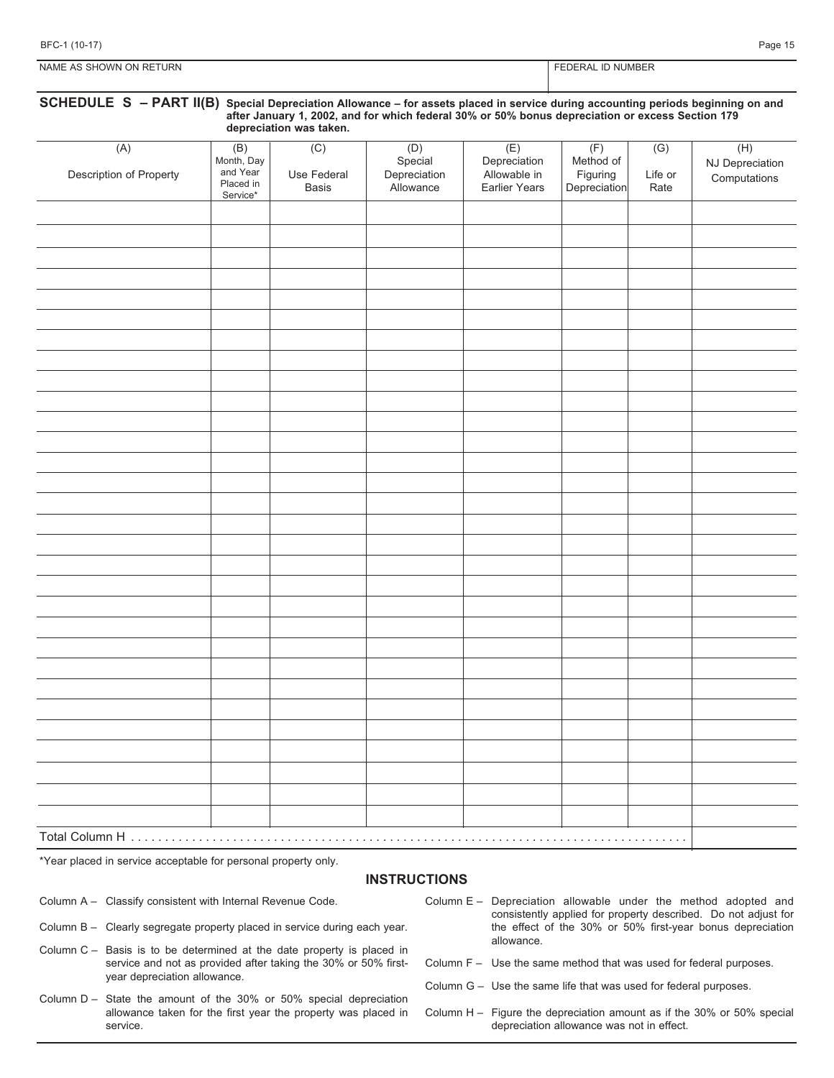| NAME AS SHOWN ON RETURN |  |  |
|-------------------------|--|--|

### FEDERAL ID NUMBER

| SCHEDULE S - PART II(B) Special Depreciation Allowance - for assets placed in service during accounting periods beginning on and<br>after January 1, 2002, and for which federal 30% or 50% bonus depreciation or excess Section 179<br>depreciation was taken. |                                                        |                             |                                             |                                                             |                                              |                        |                                        |
|-----------------------------------------------------------------------------------------------------------------------------------------------------------------------------------------------------------------------------------------------------------------|--------------------------------------------------------|-----------------------------|---------------------------------------------|-------------------------------------------------------------|----------------------------------------------|------------------------|----------------------------------------|
| (A)<br>Description of Property                                                                                                                                                                                                                                  | (B)<br>Month, Day<br>and Year<br>Placed in<br>Service* | (C)<br>Use Federal<br>Basis | (D)<br>Special<br>Depreciation<br>Allowance | (E)<br>Depreciation<br>Allowable in<br><b>Earlier Years</b> | (F)<br>Method of<br>Figuring<br>Depreciation | (G)<br>Life or<br>Rate | (H)<br>NJ Depreciation<br>Computations |
|                                                                                                                                                                                                                                                                 |                                                        |                             |                                             |                                                             |                                              |                        |                                        |
|                                                                                                                                                                                                                                                                 |                                                        |                             |                                             |                                                             |                                              |                        |                                        |
|                                                                                                                                                                                                                                                                 |                                                        |                             |                                             |                                                             |                                              |                        |                                        |
|                                                                                                                                                                                                                                                                 |                                                        |                             |                                             |                                                             |                                              |                        |                                        |
|                                                                                                                                                                                                                                                                 |                                                        |                             |                                             |                                                             |                                              |                        |                                        |
|                                                                                                                                                                                                                                                                 |                                                        |                             |                                             |                                                             |                                              |                        |                                        |
|                                                                                                                                                                                                                                                                 |                                                        |                             |                                             |                                                             |                                              |                        |                                        |
|                                                                                                                                                                                                                                                                 |                                                        |                             |                                             |                                                             |                                              |                        |                                        |
|                                                                                                                                                                                                                                                                 |                                                        |                             |                                             |                                                             |                                              |                        |                                        |
|                                                                                                                                                                                                                                                                 |                                                        |                             |                                             |                                                             |                                              |                        |                                        |
|                                                                                                                                                                                                                                                                 |                                                        |                             |                                             |                                                             |                                              |                        |                                        |
|                                                                                                                                                                                                                                                                 |                                                        |                             |                                             |                                                             |                                              |                        |                                        |
|                                                                                                                                                                                                                                                                 |                                                        |                             |                                             |                                                             |                                              |                        |                                        |
|                                                                                                                                                                                                                                                                 |                                                        |                             |                                             |                                                             |                                              |                        |                                        |
|                                                                                                                                                                                                                                                                 |                                                        |                             |                                             |                                                             |                                              |                        |                                        |
|                                                                                                                                                                                                                                                                 |                                                        |                             |                                             |                                                             |                                              |                        |                                        |
|                                                                                                                                                                                                                                                                 |                                                        |                             |                                             |                                                             |                                              |                        |                                        |
|                                                                                                                                                                                                                                                                 |                                                        |                             |                                             |                                                             |                                              |                        |                                        |
|                                                                                                                                                                                                                                                                 |                                                        |                             |                                             |                                                             |                                              |                        |                                        |
|                                                                                                                                                                                                                                                                 |                                                        |                             |                                             |                                                             |                                              |                        |                                        |
|                                                                                                                                                                                                                                                                 |                                                        |                             |                                             |                                                             |                                              |                        |                                        |
|                                                                                                                                                                                                                                                                 |                                                        |                             |                                             |                                                             |                                              |                        |                                        |
|                                                                                                                                                                                                                                                                 |                                                        |                             |                                             |                                                             |                                              |                        |                                        |
|                                                                                                                                                                                                                                                                 |                                                        |                             |                                             |                                                             |                                              |                        |                                        |
|                                                                                                                                                                                                                                                                 |                                                        |                             |                                             |                                                             |                                              |                        |                                        |
|                                                                                                                                                                                                                                                                 |                                                        |                             |                                             |                                                             |                                              |                        |                                        |
|                                                                                                                                                                                                                                                                 |                                                        |                             |                                             |                                                             |                                              |                        |                                        |
|                                                                                                                                                                                                                                                                 |                                                        |                             |                                             |                                                             |                                              |                        |                                        |
| Total Column H                                                                                                                                                                                                                                                  |                                                        |                             |                                             |                                                             |                                              |                        |                                        |

\*Year placed in service acceptable for personal property only.

#### **INSTRUCTIONS**

Column A – Classify consistent with Internal Revenue Code.

- Column B Clearly segregate property placed in service during each year.
- Column C Basis is to be determined at the date property is placed in service and not as provided after taking the 30% or 50% firstyear depreciation allowance.
- Column D State the amount of the 30% or 50% special depreciation allowance taken for the first year the property was placed in service.
- Column E Depreciation allowable under the method adopted and consistently applied for property described. Do not adjust for the effect of the 30% or 50% first-year bonus depreciation allowance.
- Column F Use the same method that was used for federal purposes.
- Column G Use the same life that was used for federal purposes.
- Column H Figure the depreciation amount as if the 30% or 50% special depreciation allowance was not in effect.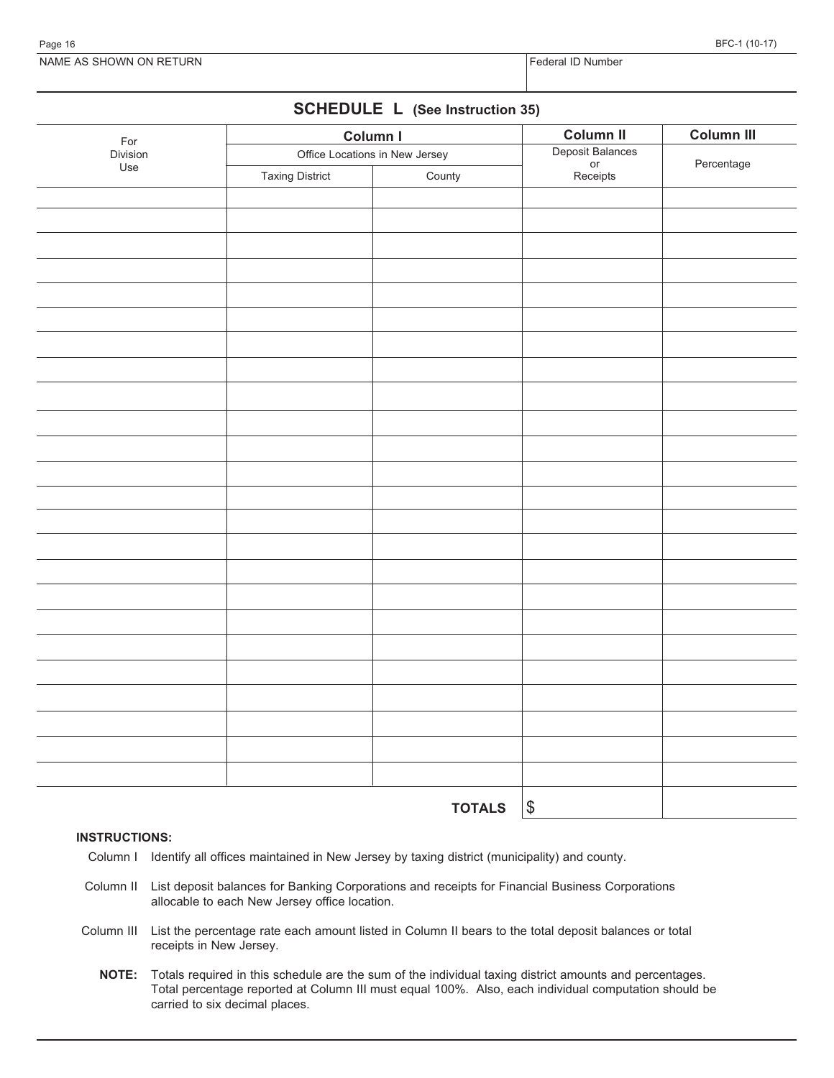NAME AS SHOWN ON RETURN FEDERAL ID
Number of the SHOWN ON RETURN Federal ID
Number of the SHOWN ON RETURN

# **SCHEDULE L (See Instruction 35)**

| For      |                        | Column I                       | Column II                          | Column III |  |
|----------|------------------------|--------------------------------|------------------------------------|------------|--|
| Division |                        | Office Locations in New Jersey |                                    | Percentage |  |
| Use      | <b>Taxing District</b> | County                         | Deposit Balances<br>or<br>Receipts |            |  |
|          |                        |                                |                                    |            |  |
|          |                        |                                |                                    |            |  |
|          |                        |                                |                                    |            |  |
|          |                        |                                |                                    |            |  |
|          |                        |                                |                                    |            |  |
|          |                        |                                |                                    |            |  |
|          |                        |                                |                                    |            |  |
|          |                        |                                |                                    |            |  |
|          |                        |                                |                                    |            |  |
|          |                        |                                |                                    |            |  |
|          |                        |                                |                                    |            |  |
|          |                        |                                |                                    |            |  |
|          |                        |                                |                                    |            |  |
|          |                        |                                |                                    |            |  |
|          |                        |                                |                                    |            |  |
|          |                        |                                |                                    |            |  |
|          |                        |                                |                                    |            |  |
|          |                        |                                |                                    |            |  |
|          |                        |                                |                                    |            |  |
|          |                        |                                |                                    |            |  |
|          |                        |                                |                                    |            |  |
|          |                        |                                |                                    |            |  |
|          |                        |                                |                                    |            |  |
|          |                        |                                |                                    |            |  |
|          |                        |                                |                                    |            |  |
|          |                        | <b>TOTALS</b>                  | $ \boldsymbol{\mathsf{s}} $        |            |  |

#### **INSTRUCTIONS:**

- Column I Identify all offices maintained in New Jersey by taxing district (municipality) and county.
- Column II List deposit balances for Banking Corporations and receipts for Financial Business Corporations allocable to each New Jersey office location.
- Column III List the percentage rate each amount listed in Column II bears to the total deposit balances or total receipts in New Jersey.
	- **NOTE:** Totals required in this schedule are the sum of the individual taxing district amounts and percentages. Total percentage reported at Column III must equal 100%. Also, each individual computation should be carried to six decimal places.